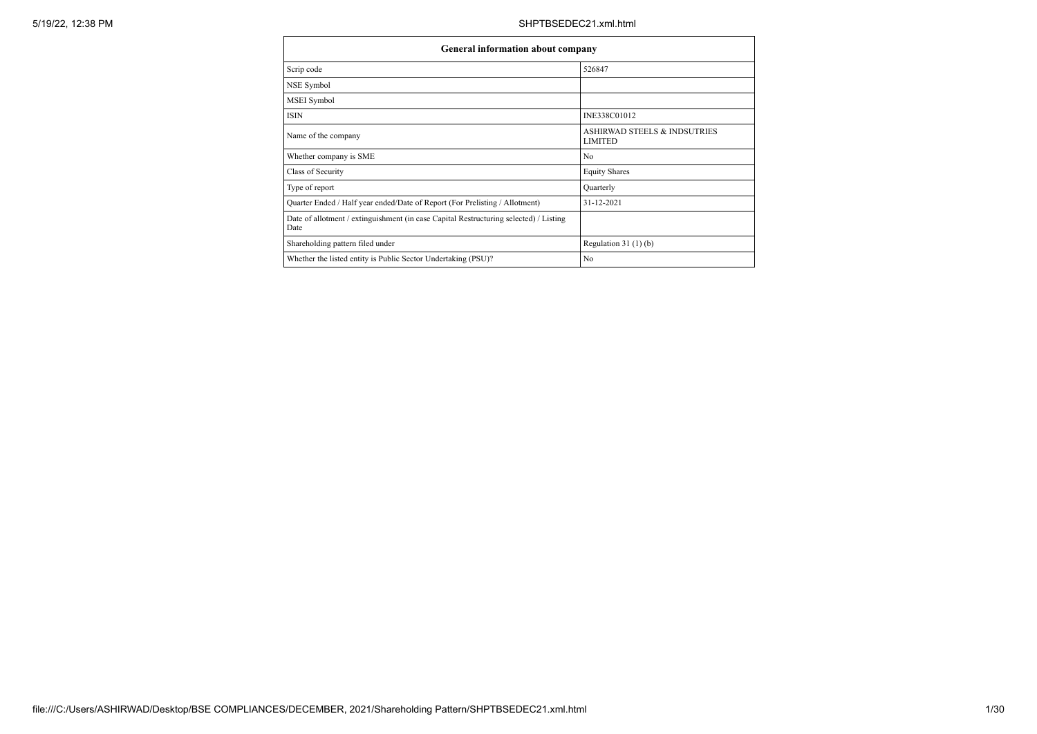| General information about company                                                             |                                                |
|-----------------------------------------------------------------------------------------------|------------------------------------------------|
| Scrip code                                                                                    | 526847                                         |
| NSE Symbol                                                                                    |                                                |
| MSEI Symbol                                                                                   |                                                |
| <b>ISIN</b>                                                                                   | INE338C01012                                   |
| Name of the company                                                                           | ASHIRWAD STEELS & INDSUTRIES<br><b>LIMITED</b> |
| Whether company is SME                                                                        | No                                             |
| Class of Security                                                                             | <b>Equity Shares</b>                           |
| Type of report                                                                                | Quarterly                                      |
| Quarter Ended / Half year ended/Date of Report (For Prelisting / Allotment)                   | $31 - 12 - 2021$                               |
| Date of allotment / extinguishment (in case Capital Restructuring selected) / Listing<br>Date |                                                |
| Shareholding pattern filed under                                                              | Regulation $31(1)(b)$                          |
| Whether the listed entity is Public Sector Undertaking (PSU)?                                 | No                                             |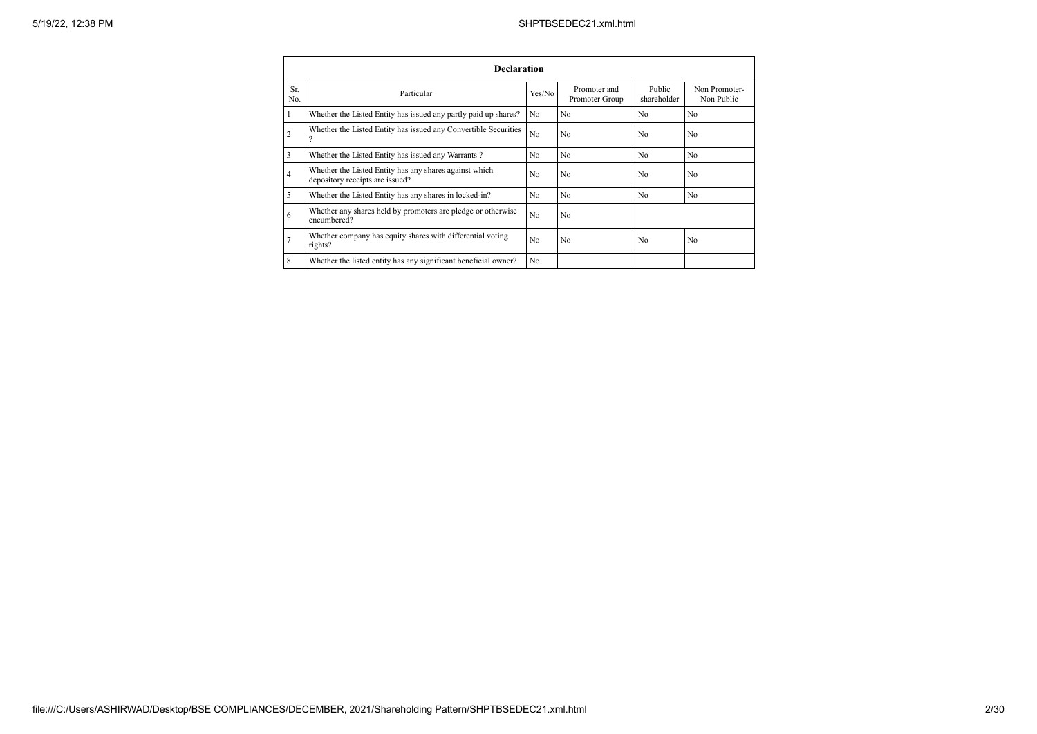|                | <b>Declaration</b>                                                                        |                |                                |                       |                             |  |  |  |  |  |  |  |  |
|----------------|-------------------------------------------------------------------------------------------|----------------|--------------------------------|-----------------------|-----------------------------|--|--|--|--|--|--|--|--|
| Sr.<br>No.     | Particular                                                                                | Yes/No         | Promoter and<br>Promoter Group | Public<br>shareholder | Non Promoter-<br>Non Public |  |  |  |  |  |  |  |  |
| 1              | Whether the Listed Entity has issued any partly paid up shares?                           | No             | No                             | N <sub>0</sub>        | N <sub>o</sub>              |  |  |  |  |  |  |  |  |
| $\overline{2}$ | Whether the Listed Entity has issued any Convertible Securities<br>$\overline{\cdot}$     | No             | No                             | No                    | N <sub>o</sub>              |  |  |  |  |  |  |  |  |
| $\overline{3}$ | Whether the Listed Entity has issued any Warrants?                                        | N <sub>0</sub> | N <sub>0</sub>                 | N <sub>0</sub>        | N <sub>o</sub>              |  |  |  |  |  |  |  |  |
| $\overline{4}$ | Whether the Listed Entity has any shares against which<br>depository receipts are issued? | No             | N <sub>0</sub>                 | N <sub>0</sub>        | N <sub>0</sub>              |  |  |  |  |  |  |  |  |
| 5              | Whether the Listed Entity has any shares in locked-in?                                    | No             | No                             | N <sub>0</sub>        | N <sub>o</sub>              |  |  |  |  |  |  |  |  |
| 6              | Whether any shares held by promoters are pledge or otherwise<br>encumbered?               | No             | N <sub>o</sub>                 |                       |                             |  |  |  |  |  |  |  |  |
|                | Whether company has equity shares with differential voting<br>rights?                     | No             | No                             | No                    | N <sub>o</sub>              |  |  |  |  |  |  |  |  |
| 8              | Whether the listed entity has any significant beneficial owner?                           | N <sub>0</sub> |                                |                       |                             |  |  |  |  |  |  |  |  |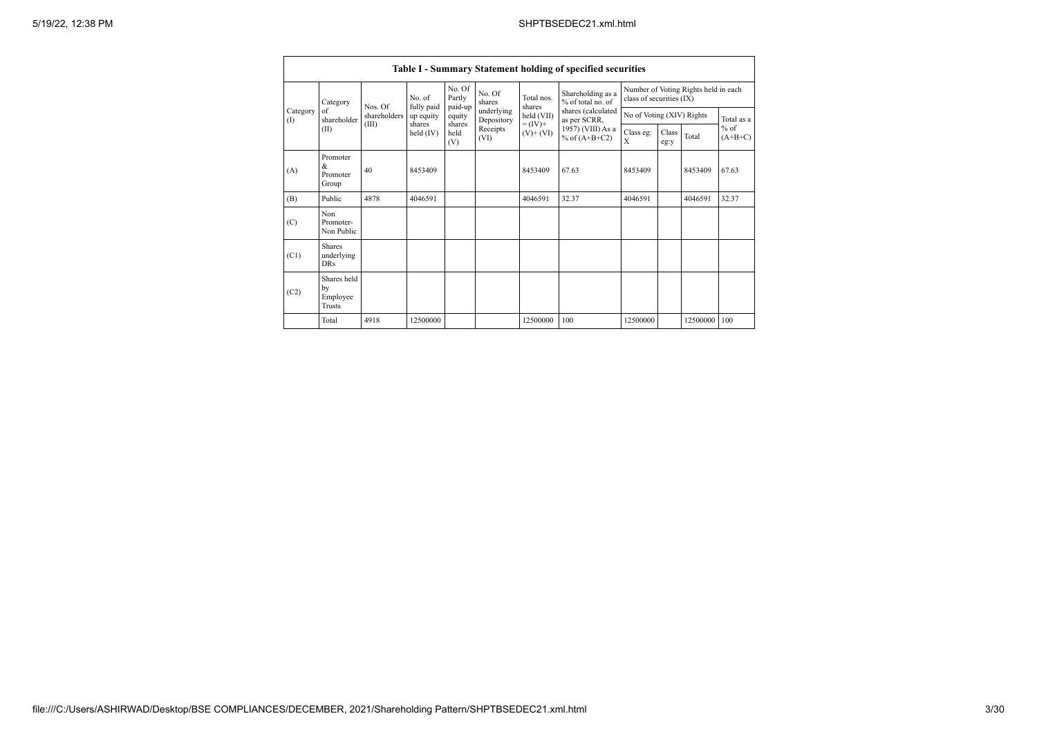|                   | Table I - Summary Statement holding of specified securities |              |                         |                   |                                                                                                      |                      |                                        |                                                                  |               |                           |                     |  |            |  |
|-------------------|-------------------------------------------------------------|--------------|-------------------------|-------------------|------------------------------------------------------------------------------------------------------|----------------------|----------------------------------------|------------------------------------------------------------------|---------------|---------------------------|---------------------|--|------------|--|
|                   | Category                                                    | Nos. Of      | No. of                  | No. Of<br>Partly  | No. Of<br>shares                                                                                     | Total nos.<br>shares | Shareholding as a<br>% of total no. of | Number of Voting Rights held in each<br>class of securities (IX) |               |                           |                     |  |            |  |
| Category<br>$($ I | of<br>shareholder                                           | shareholders | fully paid<br>up equity | paid-up<br>equity | underlying<br>held (VII)<br>Depository<br>$= (IV) +$<br>shares<br>Receipts<br>$(V)$ + $(VI)$<br>(VI) |                      |                                        | shares (calculated                                               | as per SCRR,  | No of Voting (XIV) Rights |                     |  | Total as a |  |
|                   | (II)                                                        | (III)        | shares<br>held $(IV)$   | held<br>(V)       |                                                                                                      |                      | 1957) (VIII) As a<br>% of $(A+B+C2)$   | Class eg:<br>X                                                   | Class<br>eg:y | Total                     | $%$ of<br>$(A+B+C)$ |  |            |  |
| (A)               | Promoter<br>&<br>Promoter<br>Group                          | 40           | 8453409                 |                   |                                                                                                      | 8453409              | 67.63                                  | 8453409                                                          |               | 8453409                   | 67.63               |  |            |  |
| (B)               | Public                                                      | 4878         | 4046591                 |                   |                                                                                                      | 4046591              | 32.37                                  | 4046591                                                          |               | 4046591                   | 32.37               |  |            |  |
| (C)               | Non<br>Promoter-<br>Non Public                              |              |                         |                   |                                                                                                      |                      |                                        |                                                                  |               |                           |                     |  |            |  |
| (C1)              | <b>Shares</b><br>underlying<br><b>DRs</b>                   |              |                         |                   |                                                                                                      |                      |                                        |                                                                  |               |                           |                     |  |            |  |
| (C2)              | Shares held<br>by<br>Employee<br>Trusts                     |              |                         |                   |                                                                                                      |                      |                                        |                                                                  |               |                           |                     |  |            |  |
|                   | Total                                                       | 4918         | 12500000                |                   |                                                                                                      | 12500000             | 100                                    | 12500000                                                         |               | 12500000                  | 100                 |  |            |  |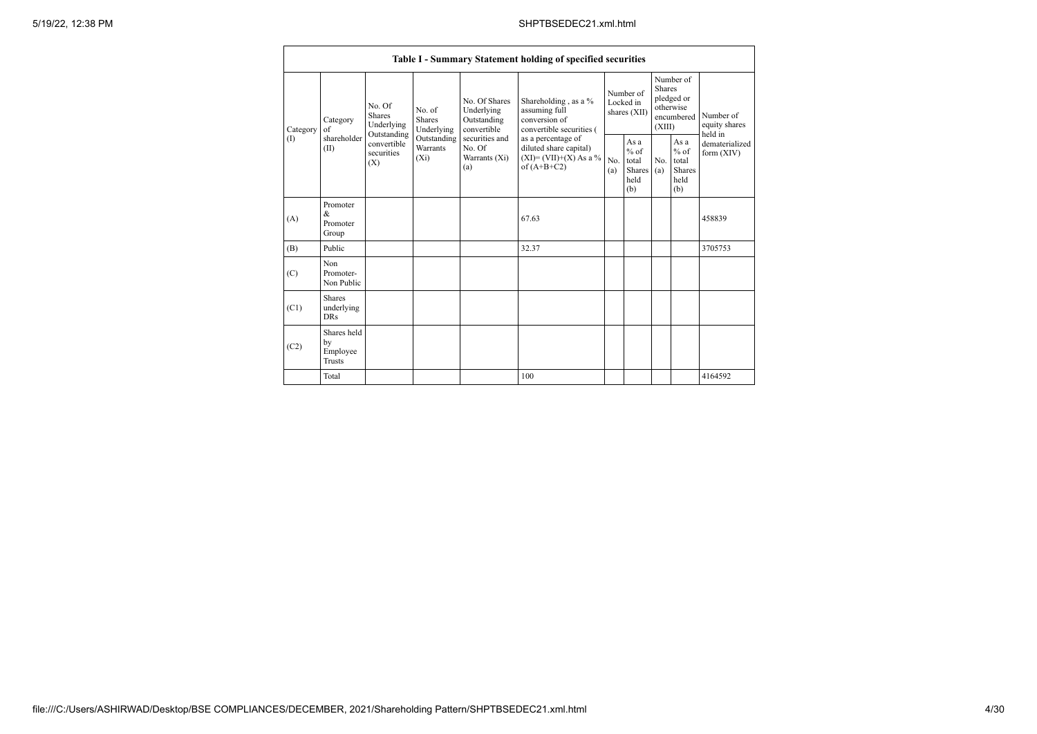|          |                                                                                            |                                  |                                                           |                                                                                    | Table I - Summary Statement holding of specified securities                              |            |                                                                               |            |                                                  |                              |
|----------|--------------------------------------------------------------------------------------------|----------------------------------|-----------------------------------------------------------|------------------------------------------------------------------------------------|------------------------------------------------------------------------------------------|------------|-------------------------------------------------------------------------------|------------|--------------------------------------------------|------------------------------|
| Category | No. Of<br>No. of<br><b>Shares</b><br>Shares<br>Category<br>Underlying<br>of<br>Outstanding | Underlying                       | No. Of Shares<br>Underlying<br>Outstanding<br>convertible | Shareholding, as a %<br>assuming full<br>conversion of<br>convertible securities ( | Number of<br>Locked in<br>shares (XII)                                                   |            | Number of<br><b>Shares</b><br>pledged or<br>otherwise<br>encumbered<br>(XIII) |            | Number of<br>equity shares<br>held in            |                              |
| (1)      | shareholder<br>(II)                                                                        | convertible<br>securities<br>(X) | Outstanding<br>Warrants<br>$(X_i)$                        | securities and<br>No. Of<br>Warrants (Xi)<br>(a)                                   | as a percentage of<br>diluted share capital)<br>$(XI)=(VII)+(X) As a %$<br>of $(A+B+C2)$ | No.<br>(a) | As a<br>$%$ of<br>total<br>Shares<br>held<br>(b)                              | No.<br>(a) | As a<br>$%$ of<br>total<br>Shares<br>held<br>(b) | dematerialized<br>form (XIV) |
| (A)      | Promoter<br>&<br>Promoter<br>Group                                                         |                                  |                                                           |                                                                                    | 67.63                                                                                    |            |                                                                               |            |                                                  | 458839                       |
| (B)      | Public                                                                                     |                                  |                                                           |                                                                                    | 32.37                                                                                    |            |                                                                               |            |                                                  | 3705753                      |
| (C)      | Non<br>Promoter-<br>Non Public                                                             |                                  |                                                           |                                                                                    |                                                                                          |            |                                                                               |            |                                                  |                              |
| (C1)     | <b>Shares</b><br>underlying<br><b>DRs</b>                                                  |                                  |                                                           |                                                                                    |                                                                                          |            |                                                                               |            |                                                  |                              |
| (C2)     | Shares held<br>by<br>Employee<br><b>Trusts</b>                                             |                                  |                                                           |                                                                                    |                                                                                          |            |                                                                               |            |                                                  |                              |
|          | Total                                                                                      |                                  |                                                           |                                                                                    | 100                                                                                      |            |                                                                               |            |                                                  | 4164592                      |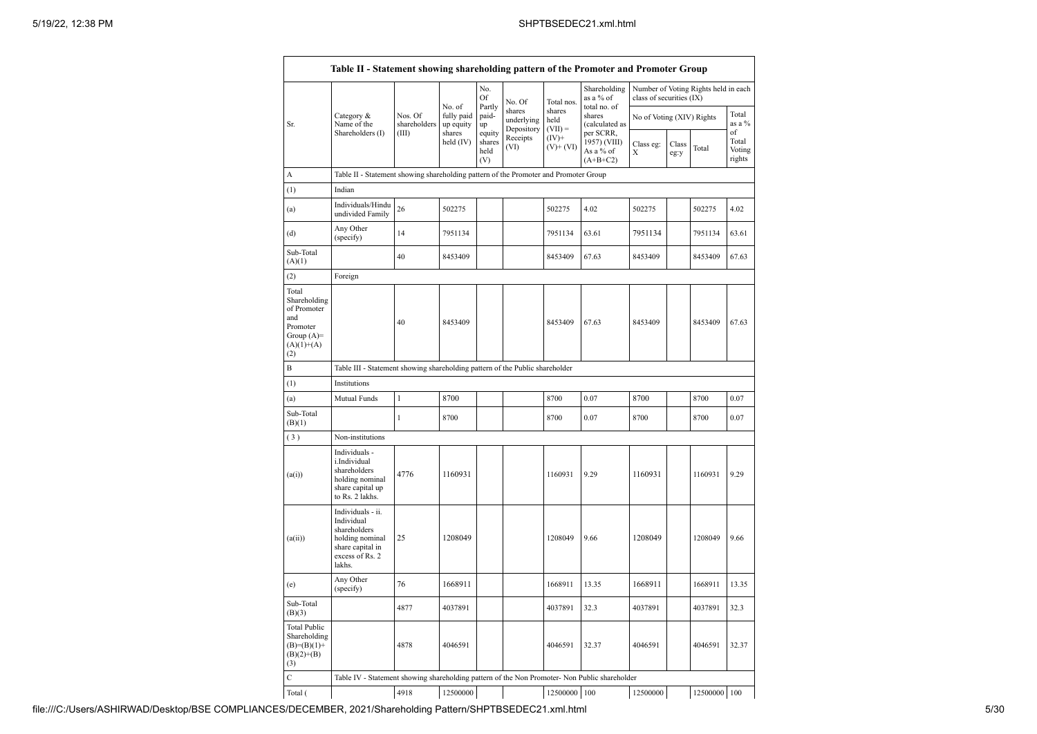|                                                                                                 | Table II - Statement showing shareholding pattern of the Promoter and Promoter Group                                |                                  |                                             |                                 |                                    |                             |                                           |                                                                                                                                                                                                        |  |                       |                           |
|-------------------------------------------------------------------------------------------------|---------------------------------------------------------------------------------------------------------------------|----------------------------------|---------------------------------------------|---------------------------------|------------------------------------|-----------------------------|-------------------------------------------|--------------------------------------------------------------------------------------------------------------------------------------------------------------------------------------------------------|--|-----------------------|---------------------------|
|                                                                                                 |                                                                                                                     |                                  |                                             | No.<br>Of                       | No. Of                             | Total nos.                  | Shareholding<br>as a % of<br>total no. of |                                                                                                                                                                                                        |  |                       |                           |
| Sr.                                                                                             | Category &<br>Name of the<br>Shareholders (I)                                                                       | Nos. Of<br>shareholders<br>(III) | No. of<br>fully paid<br>up equity<br>shares | Partly<br>paid-<br>up<br>equity | shares<br>underlying<br>Depository | shares<br>held<br>$(VII) =$ | shares<br>(calculated as<br>per SCRR,     | Number of Voting Rights held in each<br>class of securities (IX)<br>No of Voting (XIV) Rights<br>Class eg:<br>Class<br>Х<br>eg:y<br>502275<br>7951134<br>8453409<br>8453409<br>8700<br>8700<br>1160931 |  | Total<br>as a %<br>of |                           |
|                                                                                                 |                                                                                                                     |                                  | held (IV)                                   | shares<br>held<br>(V)           | Receipts<br>(VI)                   | $(IV)+$<br>$(V)+(VI)$       | 1957) (VIII)<br>As a % of<br>$(A+B+C2)$   |                                                                                                                                                                                                        |  | Total                 | Total<br>Voting<br>rights |
| А                                                                                               | Table II - Statement showing shareholding pattern of the Promoter and Promoter Group                                |                                  |                                             |                                 |                                    |                             |                                           |                                                                                                                                                                                                        |  |                       |                           |
| (1)                                                                                             | Indian                                                                                                              |                                  |                                             |                                 |                                    |                             |                                           |                                                                                                                                                                                                        |  |                       |                           |
| (a)                                                                                             | Individuals/Hindu<br>undivided Family                                                                               | 26                               | 502275                                      |                                 |                                    | 502275                      | 4.02                                      |                                                                                                                                                                                                        |  | 502275                | 4.02                      |
| (d)                                                                                             | Any Other<br>(specify)                                                                                              | 14                               | 7951134                                     |                                 |                                    | 7951134                     | 63.61                                     |                                                                                                                                                                                                        |  | 7951134               | 63.61                     |
| Sub-Total<br>(A)(1)                                                                             |                                                                                                                     | 40                               | 8453409                                     |                                 |                                    | 8453409                     | 67.63                                     |                                                                                                                                                                                                        |  | 8453409               | 67.63                     |
| (2)                                                                                             | Foreign                                                                                                             |                                  |                                             |                                 |                                    |                             |                                           |                                                                                                                                                                                                        |  |                       |                           |
| Total<br>Shareholding<br>of Promoter<br>and<br>Promoter<br>Group $(A)$ =<br>$(A)(1)+(A)$<br>(2) |                                                                                                                     | 40                               | 8453409                                     |                                 |                                    | 8453409                     | 67.63                                     |                                                                                                                                                                                                        |  | 8453409               | 67.63                     |
| $\mathbf B$                                                                                     | Table III - Statement showing shareholding pattern of the Public shareholder                                        |                                  |                                             |                                 |                                    |                             |                                           |                                                                                                                                                                                                        |  |                       |                           |
| (1)                                                                                             | Institutions                                                                                                        |                                  |                                             |                                 |                                    |                             |                                           |                                                                                                                                                                                                        |  |                       |                           |
| (a)                                                                                             | Mutual Funds                                                                                                        | $\mathbf{1}$                     | 8700                                        |                                 |                                    | 8700                        | 0.07                                      |                                                                                                                                                                                                        |  | 8700                  | 0.07                      |
| Sub-Total<br>(B)(1)                                                                             |                                                                                                                     | $\mathbf{1}$                     | 8700                                        |                                 |                                    | 8700                        | 0.07                                      |                                                                                                                                                                                                        |  | 8700                  | 0.07                      |
| (3)                                                                                             | Non-institutions                                                                                                    |                                  |                                             |                                 |                                    |                             |                                           |                                                                                                                                                                                                        |  |                       |                           |
| (a(i))                                                                                          | Individuals -<br>i.Individual<br>shareholders<br>holding nominal<br>share capital up<br>to Rs. 2 lakhs.             | 4776                             | 1160931                                     |                                 |                                    | 1160931                     | 9.29                                      |                                                                                                                                                                                                        |  | 1160931               | 9.29                      |
| (a(ii))                                                                                         | Individuals - ii.<br>Individual<br>shareholders<br>holding nominal<br>share capital in<br>excess of Rs. 2<br>lakhs. | 25                               | 1208049                                     |                                 |                                    | 1208049                     | 9.66                                      | 1208049                                                                                                                                                                                                |  | 1208049               | 9.66                      |
| (e)                                                                                             | Any Other<br>(specify)                                                                                              | 76                               | 1668911                                     |                                 |                                    | 1668911                     | 13.35                                     | 1668911                                                                                                                                                                                                |  | 1668911               | 13.35                     |
| Sub-Total<br>(B)(3)                                                                             |                                                                                                                     | 4877                             | 4037891                                     |                                 |                                    | 4037891                     | 32.3                                      | 4037891                                                                                                                                                                                                |  | 4037891               | 32.3                      |
| <b>Total Public</b><br>Shareholding<br>$(B)=(B)(1)+$<br>$(B)(2)+(B)$<br>(3)                     |                                                                                                                     | 4878                             | 4046591                                     |                                 |                                    | 4046591                     | 32.37                                     | 4046591                                                                                                                                                                                                |  | 4046591               | 32.37                     |
| $\mathbf C$                                                                                     | Table IV - Statement showing shareholding pattern of the Non Promoter- Non Public shareholder                       |                                  |                                             |                                 |                                    |                             |                                           |                                                                                                                                                                                                        |  |                       |                           |
| Total (                                                                                         |                                                                                                                     | 4918                             | 12500000                                    |                                 |                                    | 12500000 100                |                                           | 12500000                                                                                                                                                                                               |  | 12500000 100          |                           |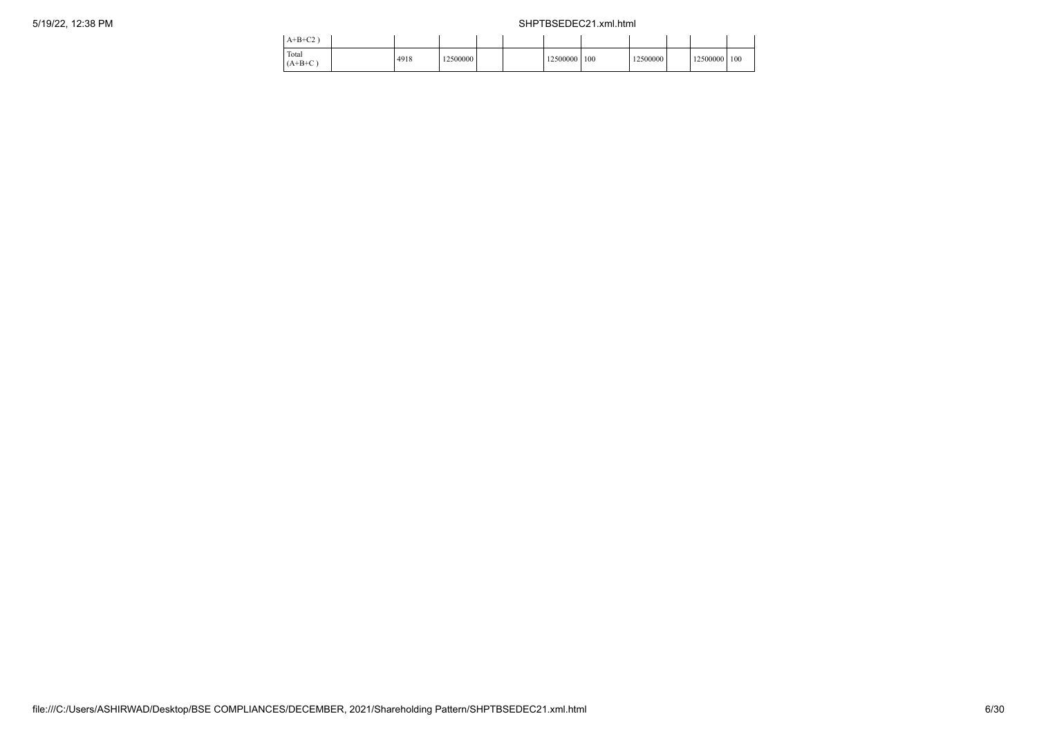| $A+B+C2$           |      |          |  |          |     |          |              |  |
|--------------------|------|----------|--|----------|-----|----------|--------------|--|
| Total<br>$(A+B+C)$ | 4918 | 12500000 |  | 12500000 | 100 | 12500000 | 12500000 100 |  |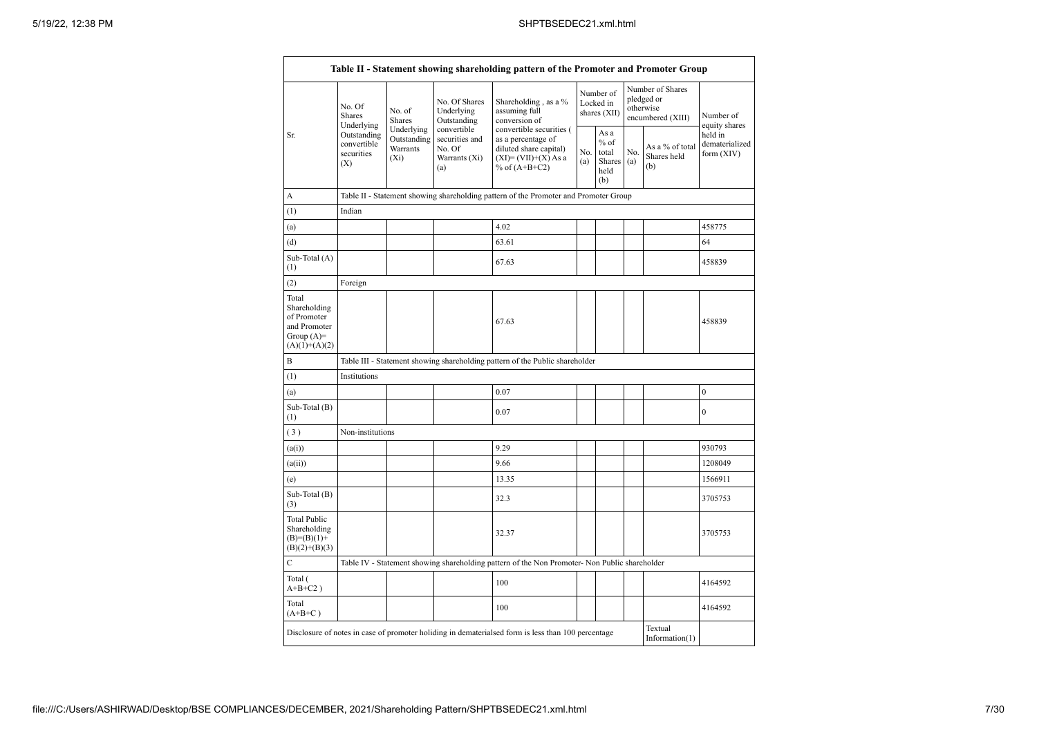|                                                                                         | No. Of<br>Shares                                              | No. of<br><b>Shares</b>                          | No. Of Shares<br>Underlying<br>Outstanding                      | Shareholding, as a %<br>assuming full<br>conversion of                                                               |            | Number of<br>Locked in<br>shares (XII)                 |     | Number of Shares<br>pledged or<br>otherwise<br>encumbered (XIII) | Number of                                                |
|-----------------------------------------------------------------------------------------|---------------------------------------------------------------|--------------------------------------------------|-----------------------------------------------------------------|----------------------------------------------------------------------------------------------------------------------|------------|--------------------------------------------------------|-----|------------------------------------------------------------------|----------------------------------------------------------|
| Sr.                                                                                     | Underlying<br>Outstanding<br>convertible<br>securities<br>(X) | Underlying<br>Outstanding<br>Warrants<br>$(X_i)$ | convertible<br>securities and<br>No. Of<br>Warrants (Xi)<br>(a) | convertible securities (<br>as a percentage of<br>diluted share capital)<br>$(XI)=(VII)+(X) As a$<br>% of $(A+B+C2)$ | No.<br>(a) | As a<br>$%$ of<br>total<br>Shares $(a)$<br>held<br>(b) | No. | As a % of total<br>Shares held<br>(b)                            | equity shares<br>held in<br>dematerialized<br>form (XIV) |
| A                                                                                       |                                                               |                                                  |                                                                 | Table II - Statement showing shareholding pattern of the Promoter and Promoter Group                                 |            |                                                        |     |                                                                  |                                                          |
| (1)                                                                                     | Indian                                                        |                                                  |                                                                 |                                                                                                                      |            |                                                        |     |                                                                  |                                                          |
| (a)                                                                                     |                                                               |                                                  |                                                                 | 4.02                                                                                                                 |            |                                                        |     |                                                                  | 458775                                                   |
| (d)                                                                                     |                                                               |                                                  |                                                                 | 63.61                                                                                                                |            |                                                        |     |                                                                  | 64                                                       |
| Sub-Total (A)<br>(1)                                                                    |                                                               |                                                  |                                                                 | 67.63                                                                                                                |            |                                                        |     |                                                                  | 458839                                                   |
| (2)                                                                                     | Foreign                                                       |                                                  |                                                                 |                                                                                                                      |            |                                                        |     |                                                                  |                                                          |
| Total<br>Shareholding<br>of Promoter<br>and Promoter<br>Group $(A)=$<br>$(A)(1)+(A)(2)$ |                                                               |                                                  |                                                                 | 67.63                                                                                                                |            |                                                        |     |                                                                  | 458839                                                   |
| B                                                                                       |                                                               |                                                  |                                                                 | Table III - Statement showing shareholding pattern of the Public shareholder                                         |            |                                                        |     |                                                                  |                                                          |
| (1)                                                                                     | Institutions                                                  |                                                  |                                                                 |                                                                                                                      |            |                                                        |     |                                                                  |                                                          |
| (a)                                                                                     |                                                               |                                                  |                                                                 | 0.07                                                                                                                 |            |                                                        |     |                                                                  | $\mathbf{0}$                                             |
| Sub-Total (B)<br>(1)                                                                    |                                                               |                                                  |                                                                 | 0.07                                                                                                                 |            |                                                        |     |                                                                  | $\overline{0}$                                           |
| (3)                                                                                     | Non-institutions                                              |                                                  |                                                                 |                                                                                                                      |            |                                                        |     |                                                                  |                                                          |
| (a(i))                                                                                  |                                                               |                                                  |                                                                 | 9.29                                                                                                                 |            |                                                        |     |                                                                  | 930793                                                   |
| (a(ii))                                                                                 |                                                               |                                                  |                                                                 | 9.66                                                                                                                 |            |                                                        |     |                                                                  | 1208049                                                  |
| (e)                                                                                     |                                                               |                                                  |                                                                 | 13.35                                                                                                                |            |                                                        |     |                                                                  | 1566911                                                  |
| Sub-Total (B)<br>(3)                                                                    |                                                               |                                                  |                                                                 | 32.3                                                                                                                 |            |                                                        |     |                                                                  | 3705753                                                  |
| <b>Total Public</b><br>Shareholding<br>$(B)=(B)(1)+$<br>$(B)(2)+(B)(3)$                 |                                                               |                                                  |                                                                 | 32.37                                                                                                                |            |                                                        |     |                                                                  | 3705753                                                  |
| $\mathbf C$                                                                             |                                                               |                                                  |                                                                 | Table IV - Statement showing shareholding pattern of the Non Promoter- Non Public shareholder                        |            |                                                        |     |                                                                  |                                                          |
| Total (<br>$A+B+C2$ )                                                                   |                                                               |                                                  |                                                                 | 100                                                                                                                  |            |                                                        |     |                                                                  | 4164592                                                  |
| Total<br>$(A+B+C)$                                                                      |                                                               |                                                  |                                                                 | 100                                                                                                                  |            |                                                        |     |                                                                  | 4164592                                                  |
|                                                                                         |                                                               |                                                  |                                                                 | Disclosure of notes in case of promoter holiding in dematerialsed form is less than 100 percentage                   |            |                                                        |     | Textual<br>Information $(1)$                                     |                                                          |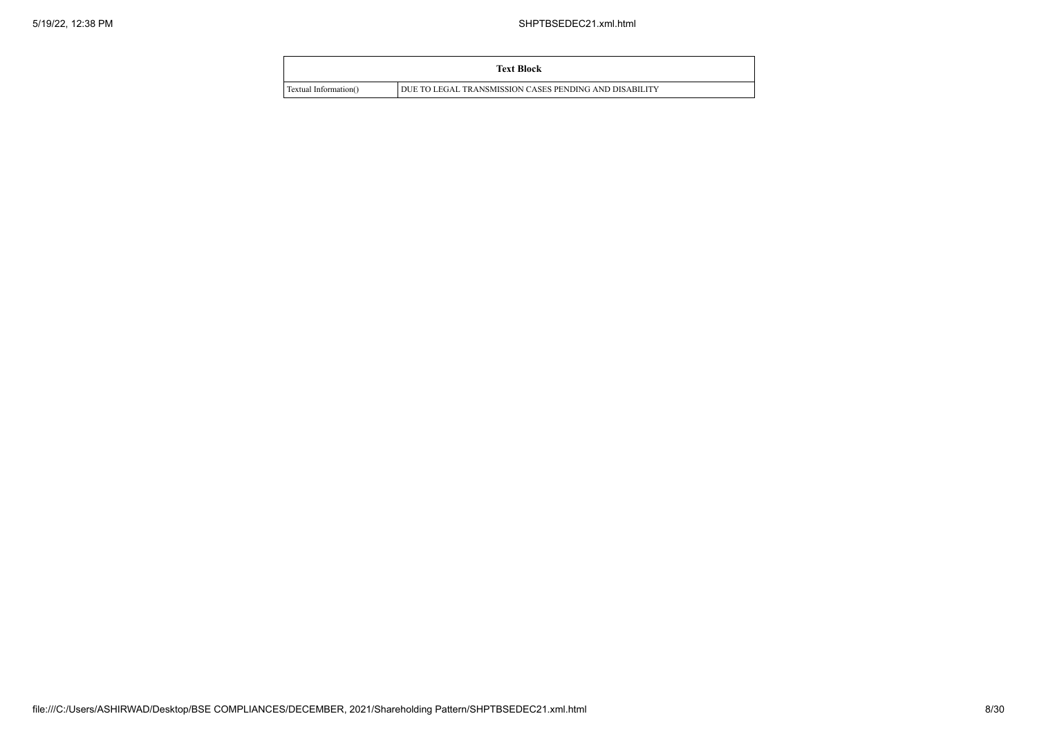|                       | <b>Text Block</b>                                      |
|-----------------------|--------------------------------------------------------|
| Textual Information() | DUE TO LEGAL TRANSMISSION CASES PENDING AND DISABILITY |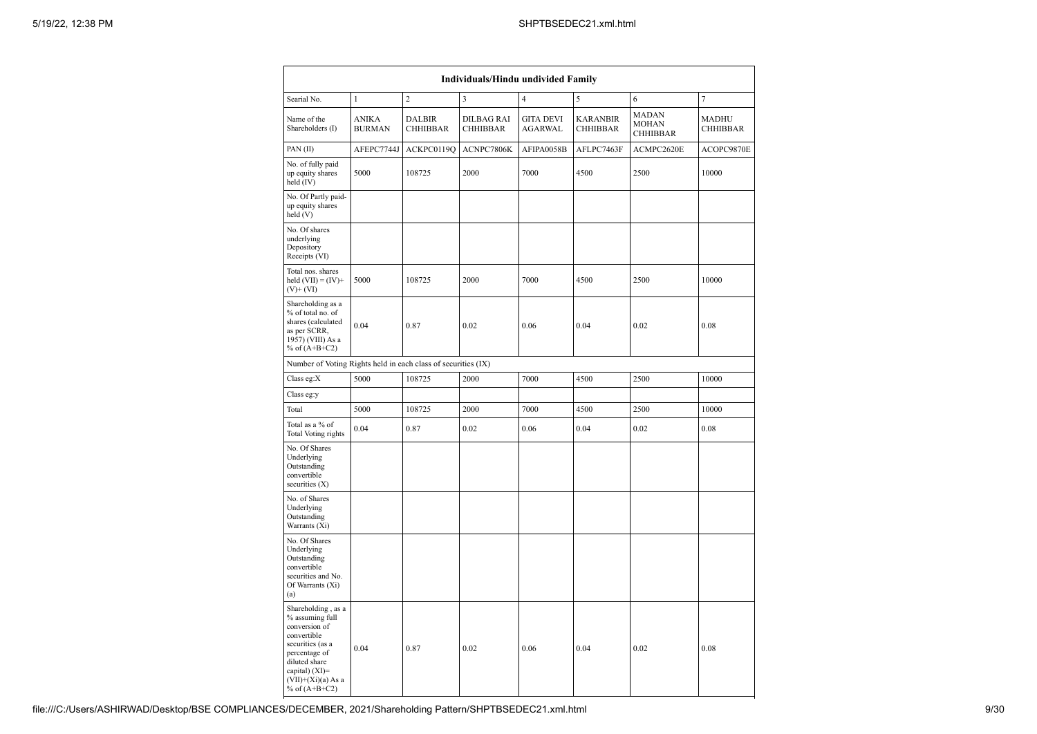| Individuals/Hindu undivided Family                                                                                                                                                         |                               |                                  |                                      |                             |                                    |                                                 |                          |  |  |  |  |  |  |
|--------------------------------------------------------------------------------------------------------------------------------------------------------------------------------------------|-------------------------------|----------------------------------|--------------------------------------|-----------------------------|------------------------------------|-------------------------------------------------|--------------------------|--|--|--|--|--|--|
| Searial No.                                                                                                                                                                                | $\mathbf{1}$                  | $\overline{c}$                   | 3                                    | $\overline{4}$              | 5                                  | 6                                               | $\tau$                   |  |  |  |  |  |  |
| Name of the<br>Shareholders (I)                                                                                                                                                            | <b>ANIKA</b><br><b>BURMAN</b> | <b>DALBIR</b><br><b>CHHIBBAR</b> | <b>DILBAG RAI</b><br><b>CHHIBBAR</b> | <b>GITA DEVI</b><br>AGARWAL | <b>KARANBIR</b><br><b>CHHIBBAR</b> | <b>MADAN</b><br><b>MOHAN</b><br><b>CHHIBBAR</b> | MADHU<br><b>CHHIBBAR</b> |  |  |  |  |  |  |
| PAN(II)                                                                                                                                                                                    | AFEPC7744J                    | ACKPC0119Q                       | ACNPC7806K                           | AFIPA0058B                  | AFLPC7463F                         | ACMPC2620E                                      | ACOPC9870E               |  |  |  |  |  |  |
| No. of fully paid<br>up equity shares<br>held (IV)                                                                                                                                         | 5000                          | 108725                           | 2000                                 | 7000                        | 4500                               | 2500                                            | 10000                    |  |  |  |  |  |  |
| No. Of Partly paid-<br>up equity shares<br>held (V)                                                                                                                                        |                               |                                  |                                      |                             |                                    |                                                 |                          |  |  |  |  |  |  |
| No. Of shares<br>underlying<br>Depository<br>Receipts (VI)                                                                                                                                 |                               |                                  |                                      |                             |                                    |                                                 |                          |  |  |  |  |  |  |
| Total nos. shares<br>held $(VII) = (IV) +$<br>$(V)$ + $(VI)$                                                                                                                               | 5000                          | 108725                           | 2000                                 | 7000                        | 4500                               | 2500                                            | 10000                    |  |  |  |  |  |  |
| Shareholding as a<br>% of total no. of<br>shares (calculated<br>as per SCRR,<br>1957) (VIII) As a<br>% of $(A+B+C2)$                                                                       | 0.04                          | 0.87                             | 0.02                                 | 0.06                        | 0.04                               | 0.02                                            | 0.08                     |  |  |  |  |  |  |
| Number of Voting Rights held in each class of securities (IX)                                                                                                                              |                               |                                  |                                      |                             |                                    |                                                 |                          |  |  |  |  |  |  |
| Class eg:X                                                                                                                                                                                 | 5000                          | 108725                           | 2000                                 | 7000                        | 4500                               | 2500                                            | 10000                    |  |  |  |  |  |  |
| Class eg:y                                                                                                                                                                                 |                               |                                  |                                      |                             |                                    |                                                 |                          |  |  |  |  |  |  |
| Total                                                                                                                                                                                      | 5000                          | 108725                           | 2000                                 | 7000                        | 4500                               | 2500                                            | 10000                    |  |  |  |  |  |  |
| Total as a % of<br>Total Voting rights                                                                                                                                                     | 0.04                          | 0.87                             | 0.02                                 | 0.06                        | 0.04                               | 0.02                                            | 0.08                     |  |  |  |  |  |  |
| No. Of Shares<br>Underlying<br>Outstanding<br>convertible<br>securities (X)                                                                                                                |                               |                                  |                                      |                             |                                    |                                                 |                          |  |  |  |  |  |  |
| No. of Shares<br>Underlying<br>Outstanding<br>Warrants (Xi)                                                                                                                                |                               |                                  |                                      |                             |                                    |                                                 |                          |  |  |  |  |  |  |
| No. Of Shares<br>Underlying<br>Outstanding<br>convertible<br>securities and No.<br>Of Warrants (Xi)<br>(a)                                                                                 |                               |                                  |                                      |                             |                                    |                                                 |                          |  |  |  |  |  |  |
| Shareholding, as a<br>% assuming full<br>conversion of<br>convertible<br>securities (as a<br>percentage of<br>diluted share<br>capital) $(XI)=$<br>$(VII)+(Xi)(a)$ As a<br>% of $(A+B+C2)$ | 0.04                          | 0.87                             | 0.02                                 | 0.06                        | 0.04                               | 0.02                                            | 0.08                     |  |  |  |  |  |  |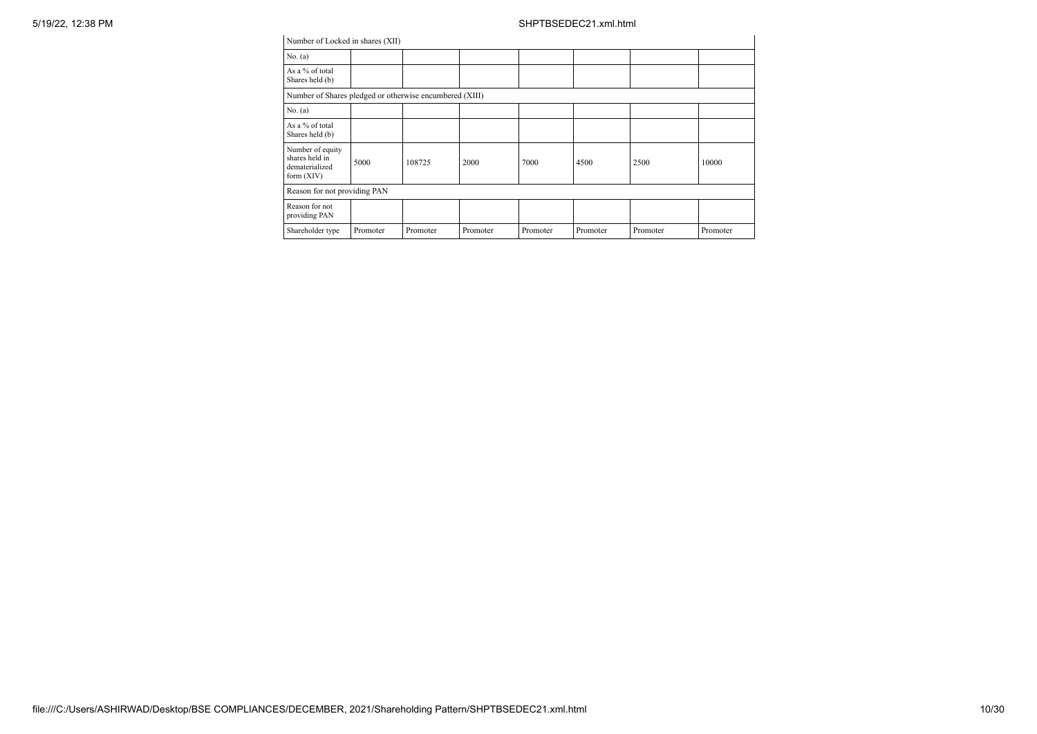| Number of Locked in shares (XII)                                     |          |          |          |          |          |          |          |
|----------------------------------------------------------------------|----------|----------|----------|----------|----------|----------|----------|
| No. (a)                                                              |          |          |          |          |          |          |          |
| As a % of total<br>Shares held (b)                                   |          |          |          |          |          |          |          |
| Number of Shares pledged or otherwise encumbered (XIII)              |          |          |          |          |          |          |          |
| No. (a)                                                              |          |          |          |          |          |          |          |
| As a % of total<br>Shares held (b)                                   |          |          |          |          |          |          |          |
| Number of equity<br>shares held in<br>dematerialized<br>form $(XIV)$ | 5000     | 108725   | 2000     | 7000     | 4500     | 2500     | 10000    |
| Reason for not providing PAN                                         |          |          |          |          |          |          |          |
| Reason for not<br>providing PAN                                      |          |          |          |          |          |          |          |
| Shareholder type                                                     | Promoter | Promoter | Promoter | Promoter | Promoter | Promoter | Promoter |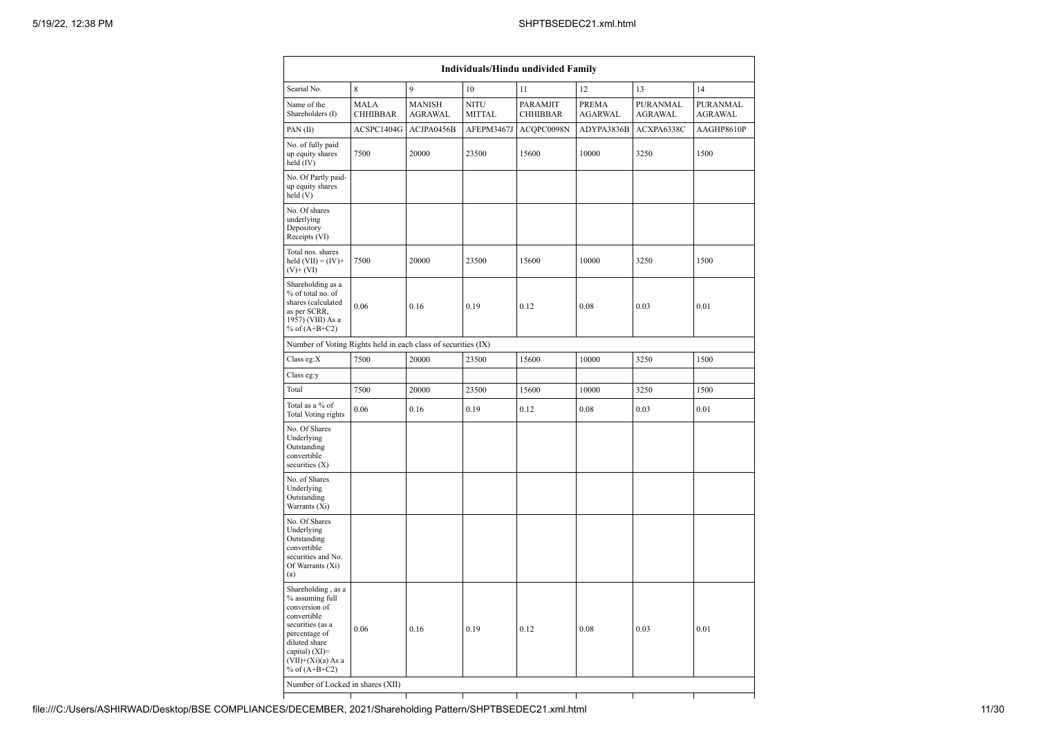| Individuals/Hindu undivided Family                                                                                                                                                       |                                |                                 |                              |                             |                         |                            |                     |  |  |  |  |  |
|------------------------------------------------------------------------------------------------------------------------------------------------------------------------------------------|--------------------------------|---------------------------------|------------------------------|-----------------------------|-------------------------|----------------------------|---------------------|--|--|--|--|--|
| Searial No.                                                                                                                                                                              | 8                              | 9                               | 10                           | 11                          | 12                      | 13                         | 14                  |  |  |  |  |  |
| Name of the<br>Shareholders (I)                                                                                                                                                          | <b>MALA</b><br><b>CHHIBBAR</b> | <b>MANISH</b><br><b>AGRAWAL</b> | <b>NITU</b><br><b>MITTAL</b> | PARAMJIT<br><b>CHHIBBAR</b> | PREMA<br><b>AGARWAL</b> | PURANMAL<br><b>AGRAWAL</b> | PURANMAL<br>AGRAWAL |  |  |  |  |  |
| PAN (II)                                                                                                                                                                                 | ACSPC1404G                     | ACJPA0456B                      | AFEPM3467J                   | ACQPC0098N                  | ADYPA3836B              | ACXPA6338C                 | AAGHP8610P          |  |  |  |  |  |
| No. of fully paid<br>up equity shares<br>held (IV)                                                                                                                                       | 7500                           | 20000                           | 23500                        | 15600                       | 10000                   | 3250                       | 1500                |  |  |  |  |  |
| No. Of Partly paid-<br>up equity shares<br>held (V)                                                                                                                                      |                                |                                 |                              |                             |                         |                            |                     |  |  |  |  |  |
| No. Of shares<br>underlying<br>Depository<br>Receipts (VI)                                                                                                                               |                                |                                 |                              |                             |                         |                            |                     |  |  |  |  |  |
| Total nos. shares<br>held $(VII) = (IV) +$<br>$(V)$ + $(VI)$                                                                                                                             | 7500                           | 20000                           | 23500                        | 15600                       | 10000                   | 3250                       | 1500                |  |  |  |  |  |
| Shareholding as a<br>% of total no. of<br>shares (calculated<br>as per SCRR,<br>1957) (VIII) As a<br>% of $(A+B+C2)$                                                                     | 0.06                           | 0.16                            | 0.19                         | 0.12                        | 0.08                    | 0.03                       | 0.01                |  |  |  |  |  |
| Number of Voting Rights held in each class of securities (IX)                                                                                                                            |                                |                                 |                              |                             |                         |                            |                     |  |  |  |  |  |
| Class eg:X                                                                                                                                                                               | 7500                           | 20000                           | 23500                        | 15600                       | 10000                   | 3250                       | 1500                |  |  |  |  |  |
| Class eg:y                                                                                                                                                                               |                                |                                 |                              |                             |                         |                            |                     |  |  |  |  |  |
| Total                                                                                                                                                                                    | 7500                           | 20000                           | 23500                        | 15600                       | 10000                   | 3250                       | 1500                |  |  |  |  |  |
| Total as a % of<br>Total Voting rights                                                                                                                                                   | 0.06                           | 0.16                            | 0.19                         | 0.12                        | 0.08                    | 0.03                       | 0.01                |  |  |  |  |  |
| No. Of Shares<br>Underlying<br>Outstanding<br>convertible<br>securities (X)                                                                                                              |                                |                                 |                              |                             |                         |                            |                     |  |  |  |  |  |
| No. of Shares<br>Underlying<br>Outstanding<br>Warrants (Xi)                                                                                                                              |                                |                                 |                              |                             |                         |                            |                     |  |  |  |  |  |
| No. Of Shares<br>Underlying<br>Outstanding<br>convertible<br>securities and No.<br>Of Warrants (Xi)<br>(a)                                                                               |                                |                                 |                              |                             |                         |                            |                     |  |  |  |  |  |
| Shareholding, as a<br>% assuming full<br>conversion of<br>convertible<br>securities (as a<br>percentage of<br>diluted share<br>capital) (XI)=<br>$(VII)+(Xi)(a)$ As a<br>% of $(A+B+C2)$ | 0.06                           | 0.16                            | 0.19                         | 0.12                        | 0.08                    | 0.03                       | 0.01                |  |  |  |  |  |
| Number of Locked in shares (XII)                                                                                                                                                         |                                |                                 |                              |                             |                         |                            |                     |  |  |  |  |  |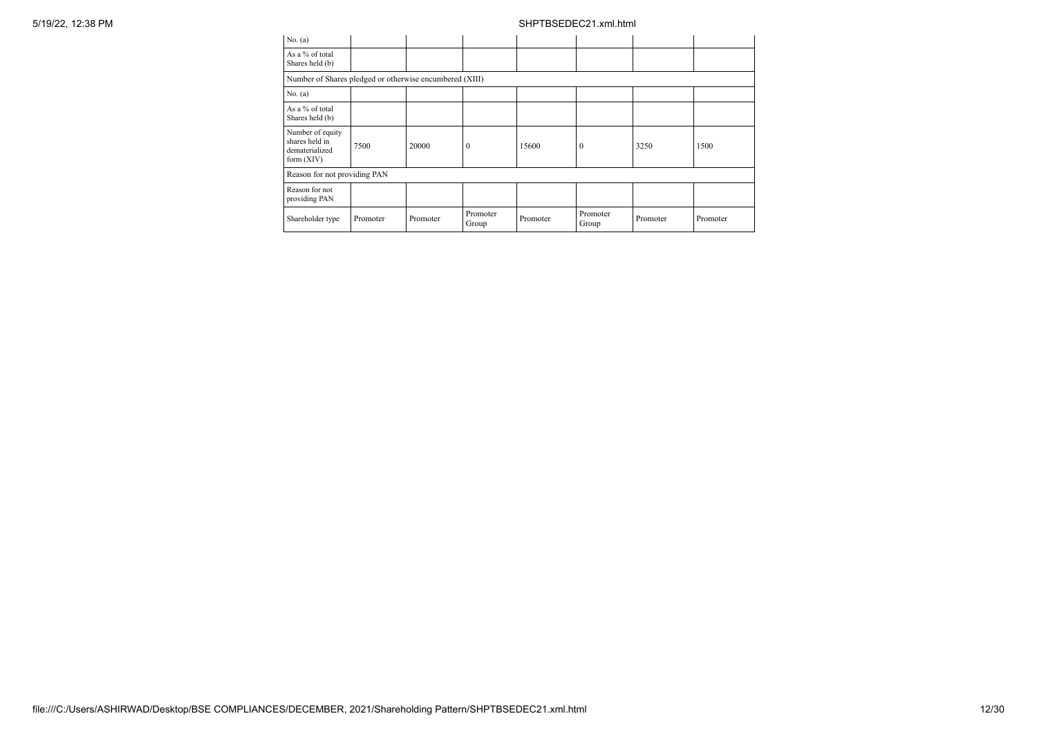| No. (a)                                                              |          |          |                   |          |                   |          |          |
|----------------------------------------------------------------------|----------|----------|-------------------|----------|-------------------|----------|----------|
| As a % of total<br>Shares held (b)                                   |          |          |                   |          |                   |          |          |
| Number of Shares pledged or otherwise encumbered (XIII)              |          |          |                   |          |                   |          |          |
| No. (a)                                                              |          |          |                   |          |                   |          |          |
| As a % of total<br>Shares held (b)                                   |          |          |                   |          |                   |          |          |
| Number of equity<br>shares held in<br>dematerialized<br>form $(XIV)$ | 7500     | 20000    | $\Omega$          | 15600    | $\mathbf{0}$      | 3250     | 1500     |
| Reason for not providing PAN                                         |          |          |                   |          |                   |          |          |
| Reason for not<br>providing PAN                                      |          |          |                   |          |                   |          |          |
| Shareholder type                                                     | Promoter | Promoter | Promoter<br>Group | Promoter | Promoter<br>Group | Promoter | Promoter |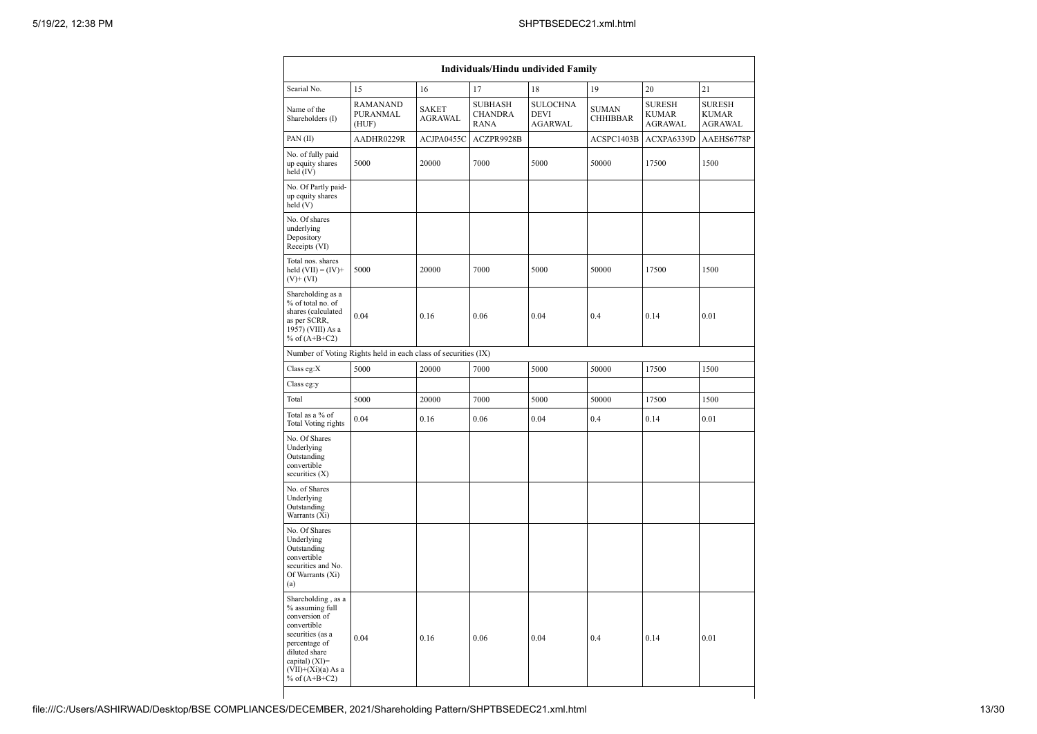|                                                                                                                                                                                            | <b>Individuals/Hindu undivided Family</b>                     |                                |                                                 |                                                  |                                 |                                                 |                                                 |  |  |
|--------------------------------------------------------------------------------------------------------------------------------------------------------------------------------------------|---------------------------------------------------------------|--------------------------------|-------------------------------------------------|--------------------------------------------------|---------------------------------|-------------------------------------------------|-------------------------------------------------|--|--|
| Searial No.                                                                                                                                                                                | 15                                                            | 16                             | 17                                              | 18                                               | 19                              | 20                                              | 21                                              |  |  |
| Name of the<br>Shareholders (I)                                                                                                                                                            | RAMANAND<br>PURANMAL<br>(HUF)                                 | <b>SAKET</b><br><b>AGRAWAL</b> | <b>SUBHASH</b><br><b>CHANDRA</b><br><b>RANA</b> | <b>SULOCHNA</b><br><b>DEVI</b><br><b>AGARWAL</b> | <b>SUMAN</b><br><b>CHHIBBAR</b> | <b>SURESH</b><br><b>KUMAR</b><br><b>AGRAWAL</b> | <b>SURESH</b><br><b>KUMAR</b><br><b>AGRAWAL</b> |  |  |
| PAN(II)                                                                                                                                                                                    | AADHR0229R                                                    | ACJPA0455C                     | ACZPR9928B                                      |                                                  | ACSPC1403B                      | ACXPA6339D                                      | AAEHS6778P                                      |  |  |
| No. of fully paid<br>up equity shares<br>held (IV)                                                                                                                                         | 5000                                                          | 20000                          | 7000                                            | 5000                                             | 50000                           | 17500                                           | 1500                                            |  |  |
| No. Of Partly paid-<br>up equity shares<br>held (V)                                                                                                                                        |                                                               |                                |                                                 |                                                  |                                 |                                                 |                                                 |  |  |
| No. Of shares<br>underlying<br>Depository<br>Receipts (VI)                                                                                                                                 |                                                               |                                |                                                 |                                                  |                                 |                                                 |                                                 |  |  |
| Total nos. shares<br>held $(VII) = (IV)+$<br>$(V)$ + $(VI)$                                                                                                                                | 5000                                                          | 20000                          | 7000                                            | 5000                                             | 50000                           | 17500                                           | 1500                                            |  |  |
| Shareholding as a<br>% of total no. of<br>shares (calculated<br>as per SCRR,<br>1957) (VIII) As a<br>% of $(A+B+C2)$                                                                       | 0.04                                                          | 0.16                           | 0.06                                            | 0.04                                             | 0.4                             | 0.14                                            | 0.01                                            |  |  |
|                                                                                                                                                                                            | Number of Voting Rights held in each class of securities (IX) |                                |                                                 |                                                  |                                 |                                                 |                                                 |  |  |
| Class eg:X                                                                                                                                                                                 | 5000                                                          | 20000                          | 7000                                            | 5000                                             | 50000                           | 17500                                           | 1500                                            |  |  |
| Class eg:y                                                                                                                                                                                 |                                                               |                                |                                                 |                                                  |                                 |                                                 |                                                 |  |  |
| Total                                                                                                                                                                                      | 5000                                                          | 20000                          | 7000                                            | 5000                                             | 50000                           | 17500                                           | 1500                                            |  |  |
| Total as a % of<br>Total Voting rights                                                                                                                                                     | 0.04                                                          | 0.16                           | 0.06                                            | 0.04                                             | 0.4                             | 0.14                                            | 0.01                                            |  |  |
| No. Of Shares<br>Underlying<br>Outstanding<br>convertible<br>securities $(X)$                                                                                                              |                                                               |                                |                                                 |                                                  |                                 |                                                 |                                                 |  |  |
| No. of Shares<br>Underlying<br>Outstanding<br>Warrants $(X_i)$                                                                                                                             |                                                               |                                |                                                 |                                                  |                                 |                                                 |                                                 |  |  |
| No. Of Shares<br>Underlying<br>Outstanding<br>convertible<br>securities and No.<br>Of Warrants (Xi)<br>(a)                                                                                 |                                                               |                                |                                                 |                                                  |                                 |                                                 |                                                 |  |  |
| Shareholding, as a<br>% assuming full<br>conversion of<br>convertible<br>securities (as a<br>percentage of<br>diluted share<br>capital) $(XI)=$<br>$(VII)+(Xi)(a) As a$<br>% of $(A+B+C2)$ | 0.04                                                          | 0.16                           | 0.06                                            | 0.04                                             | 0.4                             | 0.14                                            | 0.01                                            |  |  |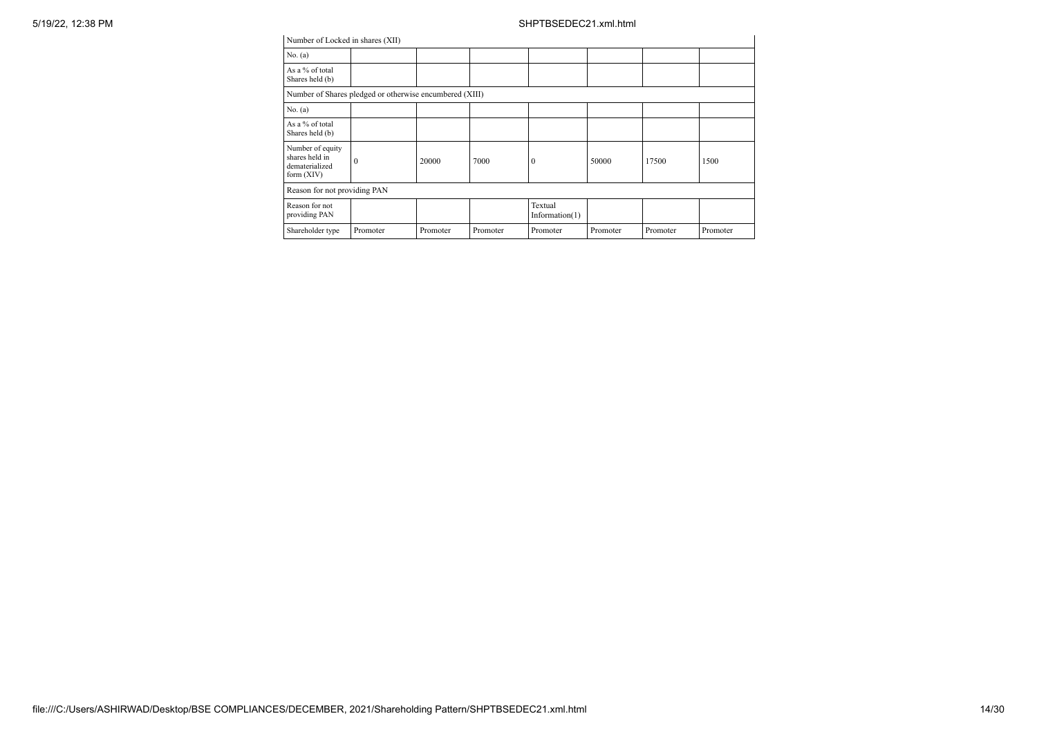| Number of Locked in shares (XII)                                   |          |          |          |                              |          |          |          |
|--------------------------------------------------------------------|----------|----------|----------|------------------------------|----------|----------|----------|
| No. (a)                                                            |          |          |          |                              |          |          |          |
| As a % of total<br>Shares held (b)                                 |          |          |          |                              |          |          |          |
| Number of Shares pledged or otherwise encumbered (XIII)            |          |          |          |                              |          |          |          |
| No. (a)                                                            |          |          |          |                              |          |          |          |
| As a % of total<br>Shares held (b)                                 |          |          |          |                              |          |          |          |
| Number of equity<br>shares held in<br>dematerialized<br>form (XIV) | $\Omega$ | 20000    | 7000     | $^{0}$                       | 50000    | 17500    | 1500     |
| Reason for not providing PAN                                       |          |          |          |                              |          |          |          |
| Reason for not<br>providing PAN                                    |          |          |          | Textual<br>Information $(1)$ |          |          |          |
| Shareholder type                                                   | Promoter | Promoter | Promoter | Promoter                     | Promoter | Promoter | Promoter |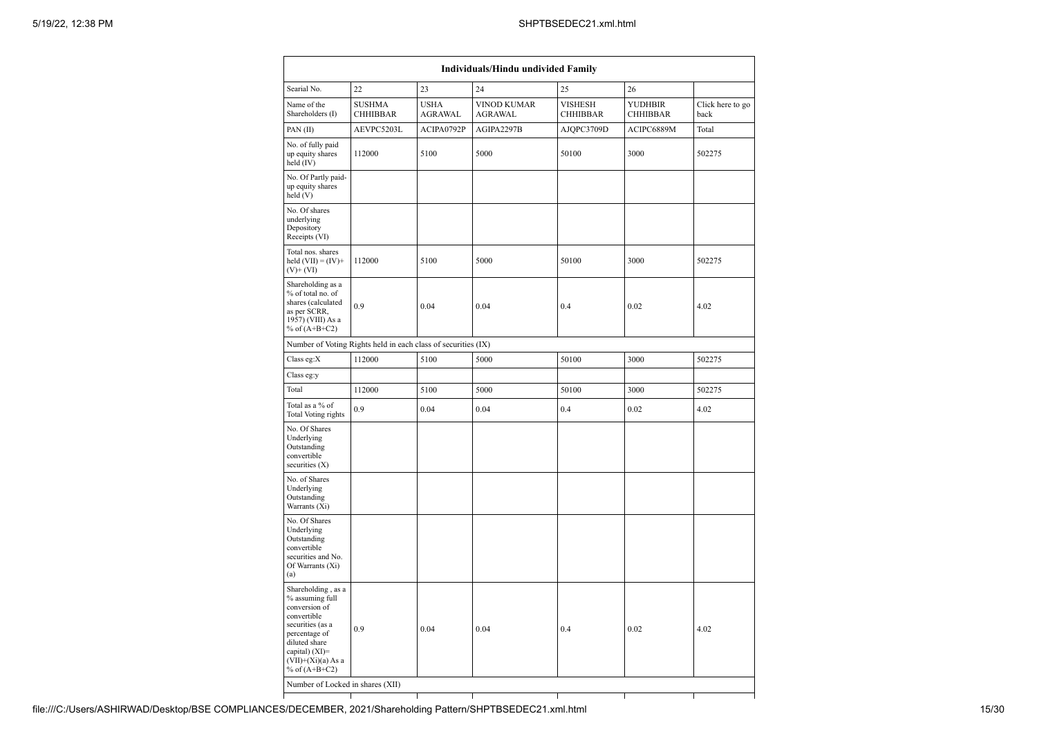| 23<br>22<br>24<br>25<br>26<br><b>SUSHMA</b><br><b>USHA</b><br>VINOD KUMAR<br>VISHESH<br><b>YUDHBIR</b><br><b>CHHIBBAR</b><br><b>AGRAWAL</b><br><b>AGRAWAL</b><br><b>CHHIBBAR</b><br><b>CHHIBBAR</b><br>back<br>AEVPC5203L<br>ACIPA0792P<br>AGIPA2297B<br>AJQPC3709D<br>ACIPC6889M<br>Total<br>5100<br>112000<br>5000<br>50100<br>3000<br>502275<br>5100<br>5000<br>3000<br>50100<br>112000<br>502275<br>0.9<br>0.04<br>0.04<br>0.4<br>0.02<br>4.02<br>Number of Voting Rights held in each class of securities (IX)<br>112000<br>5100<br>5000<br>3000<br>50100<br>502275<br>5100<br>5000<br>50100<br>112000<br>3000<br>502275<br>0.9<br>0.04<br>0.04<br>0.4<br>0.02<br>4.02<br>0.04<br>0.02<br>4.02<br>0.9<br>0.04<br>0.4<br>Number of Locked in shares (XII) | Individuals/Hindu undivided Family                                                                                                                                                     |  |  |  |  |  |                  |  |  |
|---------------------------------------------------------------------------------------------------------------------------------------------------------------------------------------------------------------------------------------------------------------------------------------------------------------------------------------------------------------------------------------------------------------------------------------------------------------------------------------------------------------------------------------------------------------------------------------------------------------------------------------------------------------------------------------------------------------------------------------------------------------|----------------------------------------------------------------------------------------------------------------------------------------------------------------------------------------|--|--|--|--|--|------------------|--|--|
|                                                                                                                                                                                                                                                                                                                                                                                                                                                                                                                                                                                                                                                                                                                                                               | Searial No.                                                                                                                                                                            |  |  |  |  |  |                  |  |  |
|                                                                                                                                                                                                                                                                                                                                                                                                                                                                                                                                                                                                                                                                                                                                                               | Name of the<br>Shareholders (I)                                                                                                                                                        |  |  |  |  |  | Click here to go |  |  |
|                                                                                                                                                                                                                                                                                                                                                                                                                                                                                                                                                                                                                                                                                                                                                               | PAN(II)                                                                                                                                                                                |  |  |  |  |  |                  |  |  |
|                                                                                                                                                                                                                                                                                                                                                                                                                                                                                                                                                                                                                                                                                                                                                               | No. of fully paid<br>up equity shares<br>held (IV)                                                                                                                                     |  |  |  |  |  |                  |  |  |
|                                                                                                                                                                                                                                                                                                                                                                                                                                                                                                                                                                                                                                                                                                                                                               | No. Of Partly paid-<br>up equity shares<br>held(V)                                                                                                                                     |  |  |  |  |  |                  |  |  |
|                                                                                                                                                                                                                                                                                                                                                                                                                                                                                                                                                                                                                                                                                                                                                               | No. Of shares<br>underlying<br>Depository<br>Receipts (VI)                                                                                                                             |  |  |  |  |  |                  |  |  |
|                                                                                                                                                                                                                                                                                                                                                                                                                                                                                                                                                                                                                                                                                                                                                               | Total nos. shares<br>held $(VII) = (IV) +$<br>$(V)$ + $(VI)$                                                                                                                           |  |  |  |  |  |                  |  |  |
|                                                                                                                                                                                                                                                                                                                                                                                                                                                                                                                                                                                                                                                                                                                                                               | Shareholding as a<br>% of total no. of<br>shares (calculated<br>as per SCRR,<br>1957) (VIII) As a<br>% of $(A+B+C2)$                                                                   |  |  |  |  |  |                  |  |  |
|                                                                                                                                                                                                                                                                                                                                                                                                                                                                                                                                                                                                                                                                                                                                                               |                                                                                                                                                                                        |  |  |  |  |  |                  |  |  |
|                                                                                                                                                                                                                                                                                                                                                                                                                                                                                                                                                                                                                                                                                                                                                               | Class eg:X                                                                                                                                                                             |  |  |  |  |  |                  |  |  |
|                                                                                                                                                                                                                                                                                                                                                                                                                                                                                                                                                                                                                                                                                                                                                               | Class eg:y                                                                                                                                                                             |  |  |  |  |  |                  |  |  |
|                                                                                                                                                                                                                                                                                                                                                                                                                                                                                                                                                                                                                                                                                                                                                               | Total                                                                                                                                                                                  |  |  |  |  |  |                  |  |  |
|                                                                                                                                                                                                                                                                                                                                                                                                                                                                                                                                                                                                                                                                                                                                                               | Total as a % of<br>Total Voting rights                                                                                                                                                 |  |  |  |  |  |                  |  |  |
|                                                                                                                                                                                                                                                                                                                                                                                                                                                                                                                                                                                                                                                                                                                                                               | No. Of Shares<br>Underlying<br>Outstanding<br>convertible<br>securities (X)                                                                                                            |  |  |  |  |  |                  |  |  |
|                                                                                                                                                                                                                                                                                                                                                                                                                                                                                                                                                                                                                                                                                                                                                               | No. of Shares<br>Underlying<br>Outstanding<br>Warrants (Xi)                                                                                                                            |  |  |  |  |  |                  |  |  |
|                                                                                                                                                                                                                                                                                                                                                                                                                                                                                                                                                                                                                                                                                                                                                               | No. Of Shares<br>Underlying<br>Outstanding<br>convertible<br>securities and No.<br>Of Warrants (Xi)<br>(a)                                                                             |  |  |  |  |  |                  |  |  |
|                                                                                                                                                                                                                                                                                                                                                                                                                                                                                                                                                                                                                                                                                                                                                               | Shareholding, as a<br>% assuming full<br>conversion of<br>convertible<br>securities (as a<br>percentage of<br>diluted share<br>capital) (XI)=<br>(VII)+(Xi)(a) As a<br>% of $(A+B+C2)$ |  |  |  |  |  |                  |  |  |
|                                                                                                                                                                                                                                                                                                                                                                                                                                                                                                                                                                                                                                                                                                                                                               |                                                                                                                                                                                        |  |  |  |  |  |                  |  |  |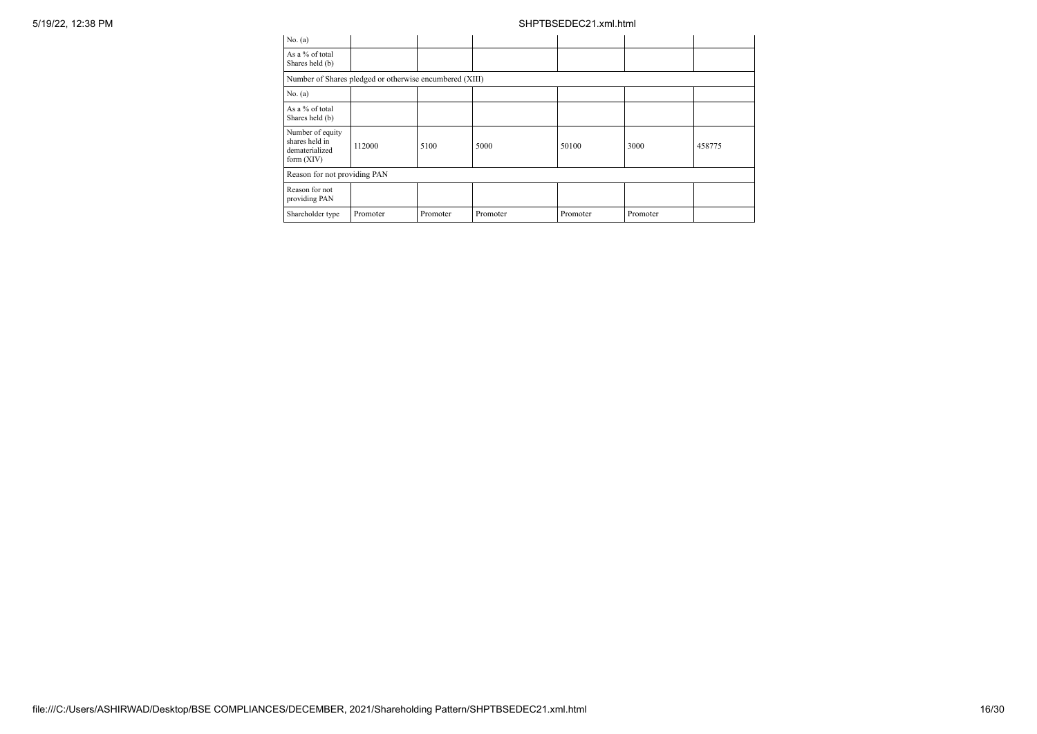| 5/19/22, 12:38 PM |                                                                    |                                                         |          |          | SHPTBSEDEC21.xml.html |          |        |
|-------------------|--------------------------------------------------------------------|---------------------------------------------------------|----------|----------|-----------------------|----------|--------|
|                   | No. $(a)$                                                          |                                                         |          |          |                       |          |        |
|                   | As a % of total<br>Shares held (b)                                 |                                                         |          |          |                       |          |        |
|                   |                                                                    | Number of Shares pledged or otherwise encumbered (XIII) |          |          |                       |          |        |
|                   | No. (a)                                                            |                                                         |          |          |                       |          |        |
|                   | As a % of total<br>Shares held (b)                                 |                                                         |          |          |                       |          |        |
|                   | Number of equity<br>shares held in<br>dematerialized<br>form (XIV) | 112000                                                  | 5100     | 5000     | 50100                 | 3000     | 458775 |
|                   | Reason for not providing PAN                                       |                                                         |          |          |                       |          |        |
|                   | Reason for not<br>providing PAN                                    |                                                         |          |          |                       |          |        |
|                   | Shareholder type                                                   | Promoter                                                | Promoter | Promoter | Promoter              | Promoter |        |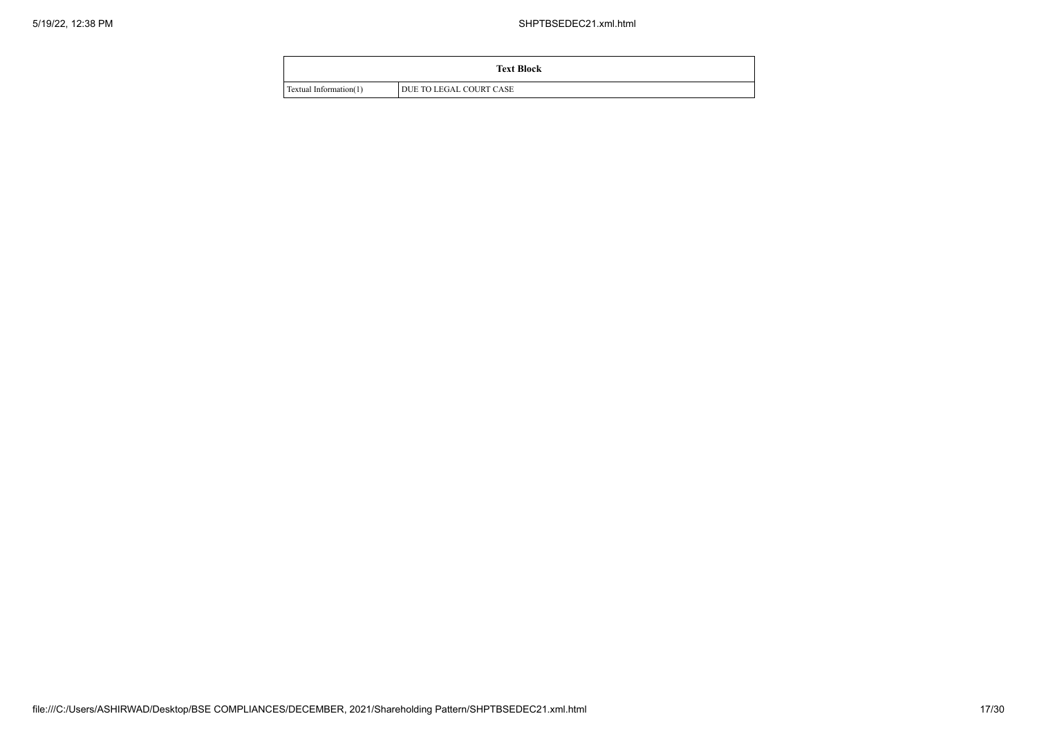|                        | <b>Text Block</b>       |
|------------------------|-------------------------|
| Textual Information(1) | DUE TO LEGAL COURT CASE |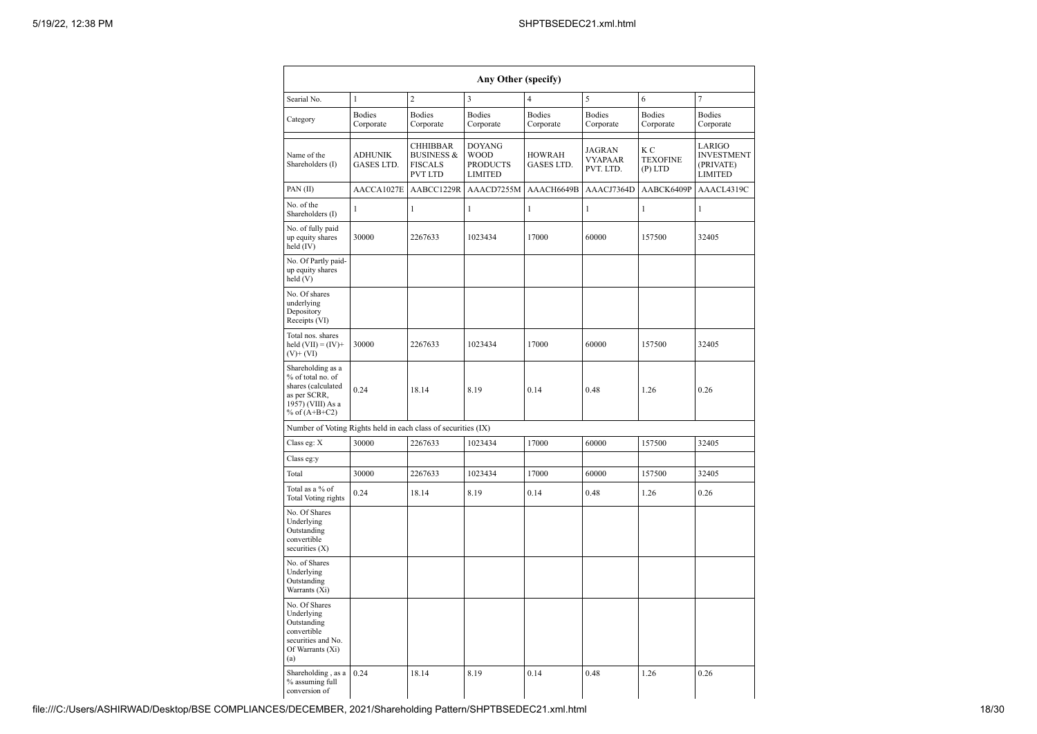|                                                                                                                      | Any Other (specify)          |                                                                       |                                                                   |                             |                                              |                                                |                                                            |  |  |
|----------------------------------------------------------------------------------------------------------------------|------------------------------|-----------------------------------------------------------------------|-------------------------------------------------------------------|-----------------------------|----------------------------------------------|------------------------------------------------|------------------------------------------------------------|--|--|
| Searial No.                                                                                                          | 1                            | $\overline{c}$                                                        | $\overline{\mathbf{3}}$                                           | $\overline{4}$              | 5                                            | 6                                              | $\tau$                                                     |  |  |
| Category                                                                                                             | <b>Bodies</b><br>Corporate   | <b>Bodies</b><br>Corporate                                            | <b>Bodies</b><br>Corporate                                        | <b>Bodies</b><br>Corporate  | <b>Bodies</b><br>Corporate                   | <b>Bodies</b><br>Corporate                     | <b>Bodies</b><br>Corporate                                 |  |  |
| Name of the<br>Shareholders (I)                                                                                      | <b>ADHUNIK</b><br>GASES LTD. | CHHIBBAR<br><b>BUSINESS &amp;</b><br><b>FISCALS</b><br><b>PVT LTD</b> | <b>DOYANG</b><br><b>WOOD</b><br><b>PRODUCTS</b><br><b>LIMITED</b> | <b>HOWRAH</b><br>GASES LTD. | <b>JAGRAN</b><br><b>VYAPAAR</b><br>PVT. LTD. | K <sub>C</sub><br><b>TEXOFINE</b><br>$(P)$ LTD | LARIGO<br><b>INVESTMENT</b><br>(PRIVATE)<br><b>LIMITED</b> |  |  |
| PAN(II)                                                                                                              | AACCA1027E                   | AABCC1229R                                                            | AAACD7255M                                                        | AAACH6649B                  | AAACJ7364D                                   | AABCK6409P                                     | AAACL4319C                                                 |  |  |
| No. of the<br>Shareholders (I)                                                                                       | 1                            | $\mathbf{1}$                                                          | $\mathbf{1}$                                                      | $\mathbf{1}$                | 1                                            | $\,1\,$                                        | $\mathbf{1}$                                               |  |  |
| No. of fully paid<br>up equity shares<br>held (IV)                                                                   | 30000                        | 2267633                                                               | 1023434                                                           | 17000                       | 60000                                        | 157500                                         | 32405                                                      |  |  |
| No. Of Partly paid-<br>up equity shares<br>held (V)                                                                  |                              |                                                                       |                                                                   |                             |                                              |                                                |                                                            |  |  |
| No. Of shares<br>underlying<br>Depository<br>Receipts (VI)                                                           |                              |                                                                       |                                                                   |                             |                                              |                                                |                                                            |  |  |
| Total nos. shares<br>held $(VII) = (IV) +$<br>$(V)$ + $(VI)$                                                         | 30000                        | 2267633                                                               | 1023434                                                           | 17000                       | 60000                                        | 157500                                         | 32405                                                      |  |  |
| Shareholding as a<br>% of total no. of<br>shares (calculated<br>as per SCRR,<br>1957) (VIII) As a<br>% of $(A+B+C2)$ | 0.24                         | 18.14                                                                 | 8.19                                                              | 0.14                        | 0.48                                         | 1.26                                           | 0.26                                                       |  |  |
| Number of Voting Rights held in each class of securities (IX)                                                        |                              |                                                                       |                                                                   |                             |                                              |                                                |                                                            |  |  |
| Class eg: X                                                                                                          | 30000                        | 2267633                                                               | 1023434                                                           | 17000                       | 60000                                        | 157500                                         | 32405                                                      |  |  |
| Class eg:y                                                                                                           |                              |                                                                       |                                                                   |                             |                                              |                                                |                                                            |  |  |
| Total                                                                                                                | 30000                        | 2267633                                                               | 1023434                                                           | 17000                       | 60000                                        | 157500                                         | 32405                                                      |  |  |
| Total as a % of<br>Total Voting rights                                                                               | 0.24                         | 18.14                                                                 | 8.19                                                              | 0.14                        | 0.48                                         | 1.26                                           | 0.26                                                       |  |  |
| No. Of Shares<br>Underlying<br>Outstanding<br>convertible<br>securities $(X)$                                        |                              |                                                                       |                                                                   |                             |                                              |                                                |                                                            |  |  |
| No. of Shares<br>Underlying<br>Outstanding<br>Warrants (Xi)                                                          |                              |                                                                       |                                                                   |                             |                                              |                                                |                                                            |  |  |
| No. Of Shares<br>Underlying<br>Outstanding<br>convertible<br>securities and No.<br>Of Warrants (Xi)<br>(a)           |                              |                                                                       |                                                                   |                             |                                              |                                                |                                                            |  |  |
| Shareholding, as a<br>% assuming full<br>conversion of                                                               | 0.24                         | 18.14                                                                 | 8.19                                                              | 0.14                        | 0.48                                         | 1.26                                           | 0.26                                                       |  |  |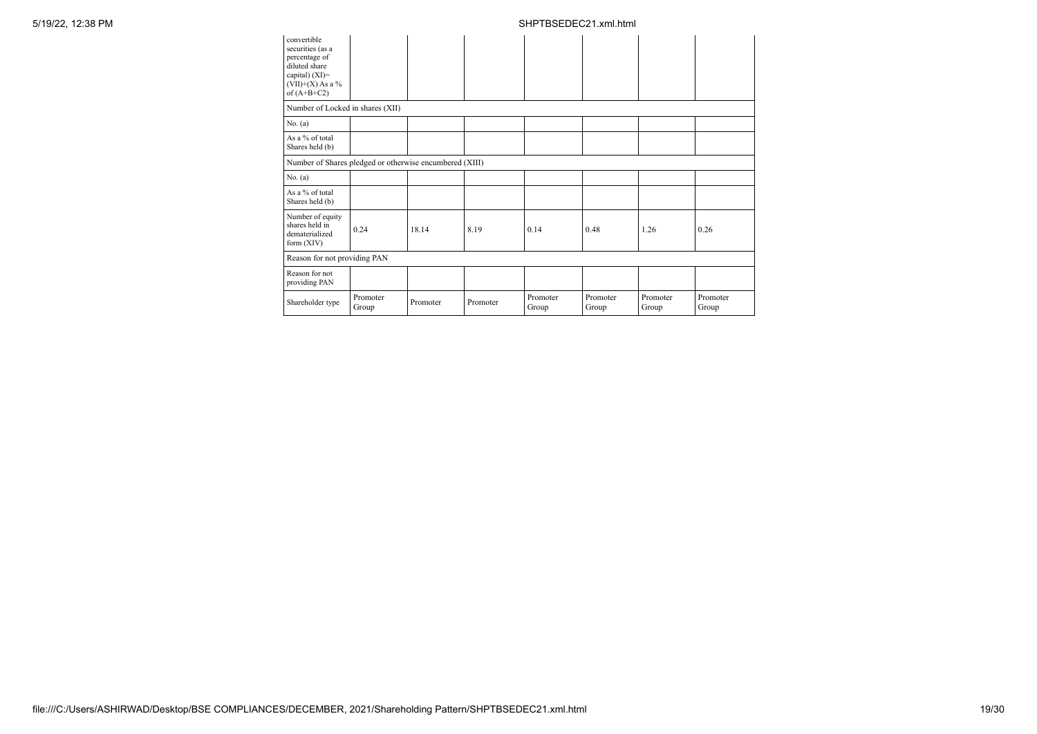| convertible<br>securities (as a<br>percentage of<br>diluted share<br>capital) $(XI)=$<br>$(VII)+(X)$ As a %<br>of $(A+B+C2)$ |                   |          |          |                   |                   |                   |                   |
|------------------------------------------------------------------------------------------------------------------------------|-------------------|----------|----------|-------------------|-------------------|-------------------|-------------------|
| Number of Locked in shares (XII)                                                                                             |                   |          |          |                   |                   |                   |                   |
| No. (a)                                                                                                                      |                   |          |          |                   |                   |                   |                   |
| As a % of total<br>Shares held (b)                                                                                           |                   |          |          |                   |                   |                   |                   |
| Number of Shares pledged or otherwise encumbered (XIII)                                                                      |                   |          |          |                   |                   |                   |                   |
| No. (a)                                                                                                                      |                   |          |          |                   |                   |                   |                   |
| As a % of total<br>Shares held (b)                                                                                           |                   |          |          |                   |                   |                   |                   |
| Number of equity<br>shares held in<br>dematerialized<br>form $(XIV)$                                                         | 0.24              | 18.14    | 8.19     | 0.14              | 0.48              | 1.26              | 0.26              |
| Reason for not providing PAN                                                                                                 |                   |          |          |                   |                   |                   |                   |
| Reason for not<br>providing PAN                                                                                              |                   |          |          |                   |                   |                   |                   |
| Shareholder type                                                                                                             | Promoter<br>Group | Promoter | Promoter | Promoter<br>Group | Promoter<br>Group | Promoter<br>Group | Promoter<br>Group |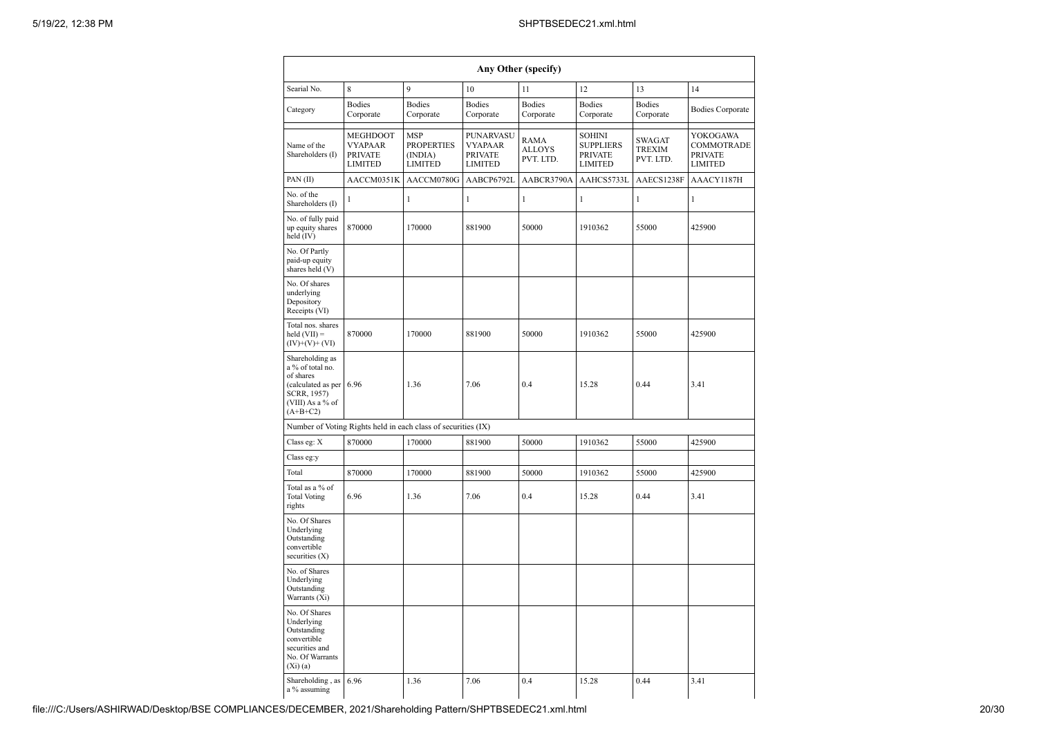|                                                                                                                              | Any Other (specify)                                            |                                                              |                                                                 |                                    |                                                                       |                                      |                                                            |  |  |  |
|------------------------------------------------------------------------------------------------------------------------------|----------------------------------------------------------------|--------------------------------------------------------------|-----------------------------------------------------------------|------------------------------------|-----------------------------------------------------------------------|--------------------------------------|------------------------------------------------------------|--|--|--|
| Searial No.                                                                                                                  | 8                                                              | 9                                                            | 10                                                              | 11                                 | 12                                                                    | 13                                   | 14                                                         |  |  |  |
| Category                                                                                                                     | <b>Bodies</b><br>Corporate                                     | <b>Bodies</b><br>Corporate                                   | <b>Bodies</b><br>Corporate                                      | <b>Bodies</b><br>Corporate         | <b>Bodies</b><br>Corporate                                            | <b>Bodies</b><br>Corporate           | <b>Bodies Corporate</b>                                    |  |  |  |
| Name of the<br>Shareholders (I)                                                                                              | MEGHDOOT<br><b>VYAPAAR</b><br><b>PRIVATE</b><br><b>LIMITED</b> | <b>MSP</b><br><b>PROPERTIES</b><br>(INDIA)<br><b>LIMITED</b> | PUNARVASU<br><b>VYAPAAR</b><br><b>PRIVATE</b><br><b>LIMITED</b> | RAMA<br><b>ALLOYS</b><br>PVT. LTD. | <b>SOHINI</b><br><b>SUPPLIERS</b><br><b>PRIVATE</b><br><b>LIMITED</b> | SWAGAT<br><b>TREXIM</b><br>PVT. LTD. | YOKOGAWA<br>COMMOTRADE<br><b>PRIVATE</b><br><b>LIMITED</b> |  |  |  |
| PAN(II)                                                                                                                      | AACCM0351K                                                     | AACCM0780G                                                   | AABCP6792L                                                      | AABCR3790A                         | AAHCS5733L                                                            | AAECS1238F                           | AAACY1187H                                                 |  |  |  |
| No. of the<br>Shareholders (I)                                                                                               | 1                                                              | 1                                                            | $\mathbf{1}$                                                    | 1                                  | $\mathbf{1}$                                                          | $\mathbf{1}$                         | $\mathbf{1}$                                               |  |  |  |
| No. of fully paid<br>up equity shares<br>held (IV)                                                                           | 870000                                                         | 170000                                                       | 881900                                                          | 50000                              | 1910362                                                               | 55000                                | 425900                                                     |  |  |  |
| No. Of Partly<br>paid-up equity<br>shares held (V)                                                                           |                                                                |                                                              |                                                                 |                                    |                                                                       |                                      |                                                            |  |  |  |
| No. Of shares<br>underlying<br>Depository<br>Receipts (VI)                                                                   |                                                                |                                                              |                                                                 |                                    |                                                                       |                                      |                                                            |  |  |  |
| Total nos. shares<br>held $(VII) =$<br>$(IV)+(V)+(VI)$                                                                       | 870000                                                         | 170000                                                       | 881900                                                          | 50000                              | 1910362                                                               | 55000                                | 425900                                                     |  |  |  |
| Shareholding as<br>a % of total no.<br>of shares<br>(calculated as per 6.96<br>SCRR, 1957)<br>(VIII) As a % of<br>$(A+B+C2)$ |                                                                | 1.36                                                         | 7.06                                                            | 0.4                                | 15.28                                                                 | 0.44                                 | 3.41                                                       |  |  |  |
|                                                                                                                              | Number of Voting Rights held in each class of securities (IX)  |                                                              |                                                                 |                                    |                                                                       |                                      |                                                            |  |  |  |
| Class eg: X                                                                                                                  | 870000                                                         | 170000                                                       | 881900                                                          | 50000                              | 1910362                                                               | 55000                                | 425900                                                     |  |  |  |
| Class eg:y                                                                                                                   |                                                                |                                                              |                                                                 |                                    |                                                                       |                                      |                                                            |  |  |  |
| Total                                                                                                                        | 870000                                                         | 170000                                                       | 881900                                                          | 50000                              | 1910362                                                               | 55000                                | 425900                                                     |  |  |  |
| Total as a % of<br><b>Total Voting</b><br>rights                                                                             | 6.96                                                           | 1.36                                                         | 7.06                                                            | 0.4                                | 15.28                                                                 | 0.44                                 | 3.41                                                       |  |  |  |
| No. Of Shares<br>Underlying<br>Outstanding<br>convertible<br>securities (X)                                                  |                                                                |                                                              |                                                                 |                                    |                                                                       |                                      |                                                            |  |  |  |
| No. of Shares<br>Underlying<br>Outstanding<br>Warrants (Xi)                                                                  |                                                                |                                                              |                                                                 |                                    |                                                                       |                                      |                                                            |  |  |  |
| No. Of Shares<br>Underlying<br>Outstanding<br>convertible<br>securities and<br>No. Of Warrants<br>$(Xi)$ (a)                 |                                                                |                                                              |                                                                 |                                    |                                                                       |                                      |                                                            |  |  |  |
| Shareholding, as<br>a % assuming                                                                                             | 6.96                                                           | 1.36                                                         | 7.06                                                            | 0.4                                | 15.28                                                                 | 0.44                                 | 3.41                                                       |  |  |  |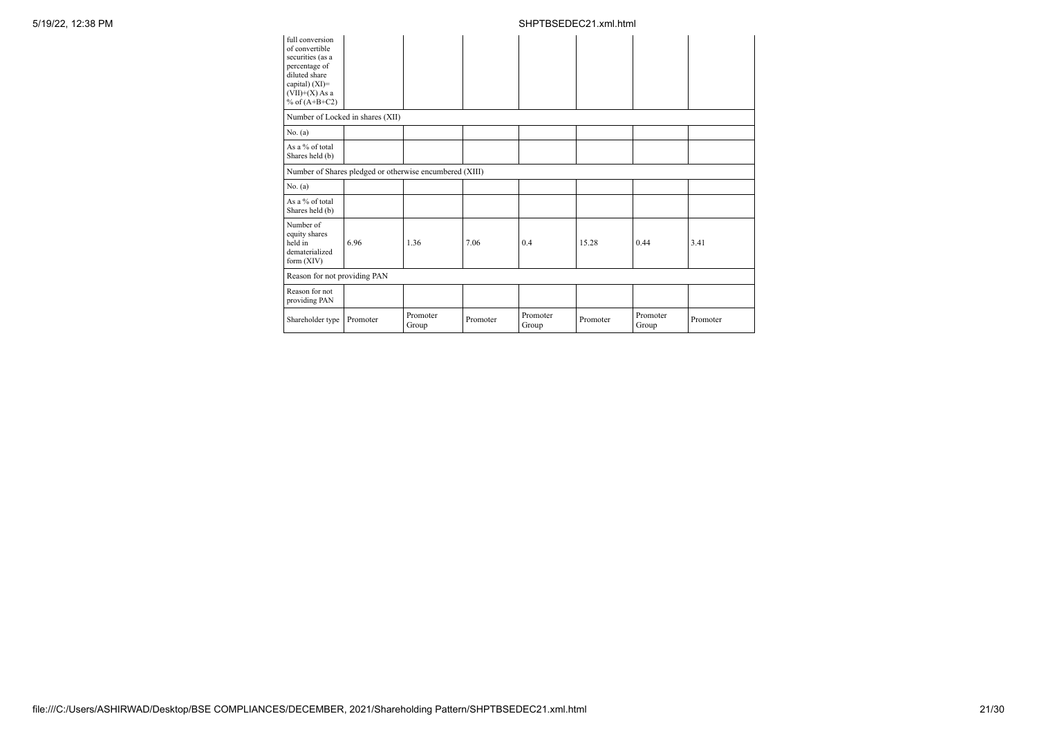| full conversion<br>of convertible<br>securities (as a<br>percentage of<br>diluted share<br>capital) $(XI)$ =<br>$(VII)+(X)$ As a<br>% of $(A+B+C2)$ |          |                   |          |                   |          |                   |          |
|-----------------------------------------------------------------------------------------------------------------------------------------------------|----------|-------------------|----------|-------------------|----------|-------------------|----------|
| Number of Locked in shares (XII)                                                                                                                    |          |                   |          |                   |          |                   |          |
| No. (a)                                                                                                                                             |          |                   |          |                   |          |                   |          |
| As a % of total<br>Shares held (b)                                                                                                                  |          |                   |          |                   |          |                   |          |
| Number of Shares pledged or otherwise encumbered (XIII)                                                                                             |          |                   |          |                   |          |                   |          |
| No. (a)                                                                                                                                             |          |                   |          |                   |          |                   |          |
| As a % of total<br>Shares held (b)                                                                                                                  |          |                   |          |                   |          |                   |          |
| Number of<br>equity shares<br>held in<br>dematerialized<br>form $(XIV)$                                                                             | 6.96     | 1.36              | 7.06     | 0.4               | 15.28    | 0.44              | 3.41     |
| Reason for not providing PAN                                                                                                                        |          |                   |          |                   |          |                   |          |
| Reason for not<br>providing PAN                                                                                                                     |          |                   |          |                   |          |                   |          |
| Shareholder type                                                                                                                                    | Promoter | Promoter<br>Group | Promoter | Promoter<br>Group | Promoter | Promoter<br>Group | Promoter |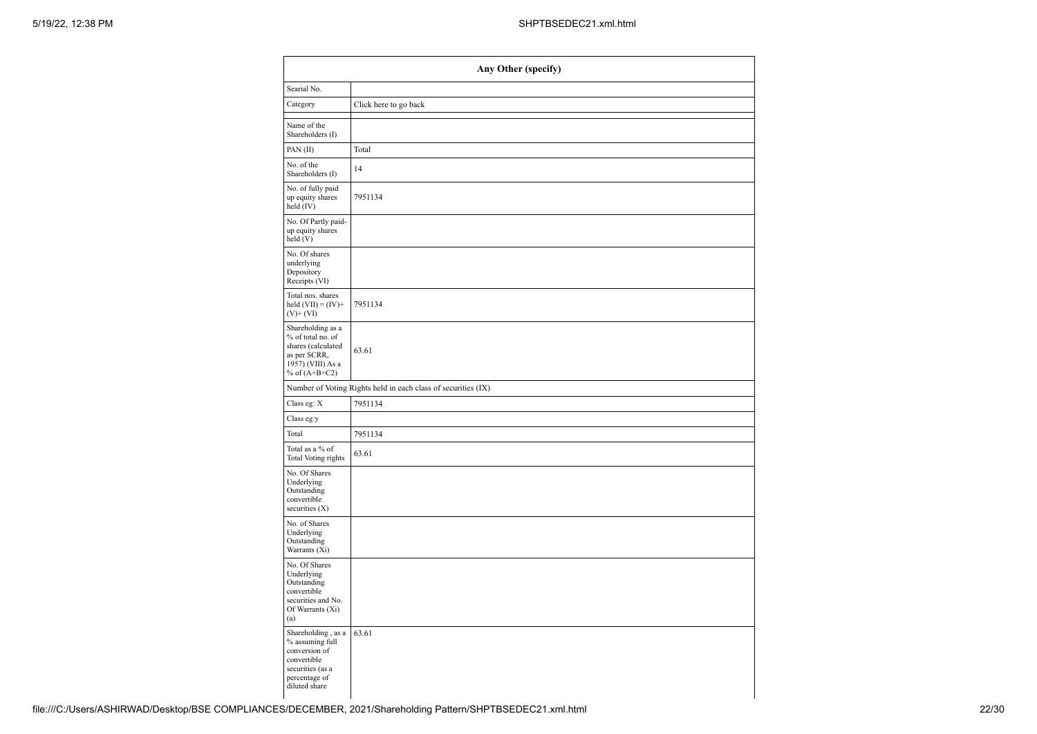|                                                                                                                             | Any Other (specify)                                           |
|-----------------------------------------------------------------------------------------------------------------------------|---------------------------------------------------------------|
| Searial No.                                                                                                                 |                                                               |
| Category                                                                                                                    | Click here to go back                                         |
| Name of the<br>Shareholders (I)                                                                                             |                                                               |
| PAN(II)                                                                                                                     | Total                                                         |
| No. of the<br>Shareholders (I)                                                                                              | 14                                                            |
| No. of fully paid<br>up equity shares<br>held (IV)                                                                          | 7951134                                                       |
| No. Of Partly paid-<br>up equity shares<br>held(V)                                                                          |                                                               |
| No. Of shares<br>underlying<br>Depository<br>Receipts (VI)                                                                  |                                                               |
| Total nos. shares<br>held $(VII) = (IV) +$<br>$(V)$ + $(VI)$                                                                | 7951134                                                       |
| Shareholding as a<br>% of total no. of<br>shares (calculated<br>as per SCRR,<br>1957) (VIII) As a<br>% of $(A+B+C2)$        | 63.61                                                         |
|                                                                                                                             | Number of Voting Rights held in each class of securities (IX) |
| Class eg: X                                                                                                                 | 7951134                                                       |
| Class eg:y                                                                                                                  |                                                               |
| Total                                                                                                                       | 7951134                                                       |
| Total as a $\%$ of<br>Total Voting rights                                                                                   | 63.61                                                         |
| No. Of Shares<br>Underlying<br>Outstanding<br>convertible<br>securities (X)                                                 |                                                               |
| No. of Shares<br>Underlying<br>Outstanding<br>Warrants (Xi)                                                                 |                                                               |
| No. Of Shares<br>Underlying<br>Outstanding<br>convertible<br>securities and No.<br>Of Warrants (Xi)<br>(a)                  |                                                               |
| Shareholding, as a<br>% assuming full<br>conversion of<br>convertible<br>securities (as a<br>percentage of<br>diluted share | 63.61                                                         |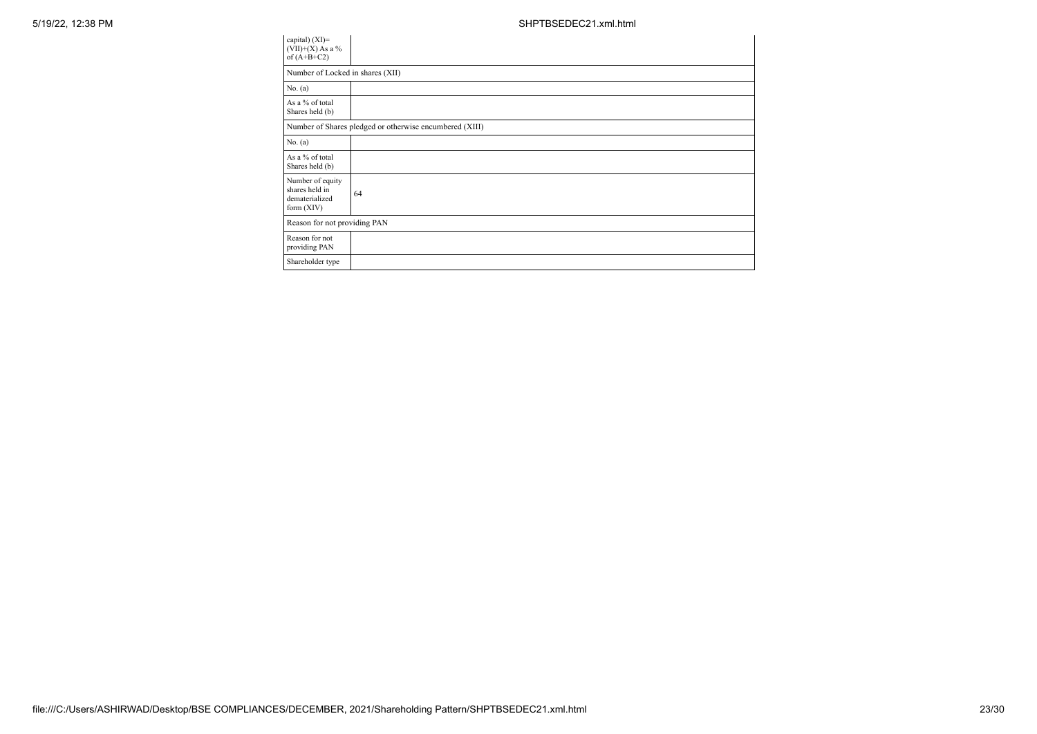| capital) (XI)=<br>$(VII)+(X)$ As a %<br>of $(A+B+C2)$              |                                                         |
|--------------------------------------------------------------------|---------------------------------------------------------|
| Number of Locked in shares (XII)                                   |                                                         |
| No. (a)                                                            |                                                         |
| As a % of total<br>Shares held (b)                                 |                                                         |
|                                                                    | Number of Shares pledged or otherwise encumbered (XIII) |
| No. (a)                                                            |                                                         |
| As a % of total<br>Shares held (b)                                 |                                                         |
| Number of equity<br>shares held in<br>dematerialized<br>form (XIV) | 64                                                      |
| Reason for not providing PAN                                       |                                                         |
| Reason for not<br>providing PAN                                    |                                                         |
| Shareholder type                                                   |                                                         |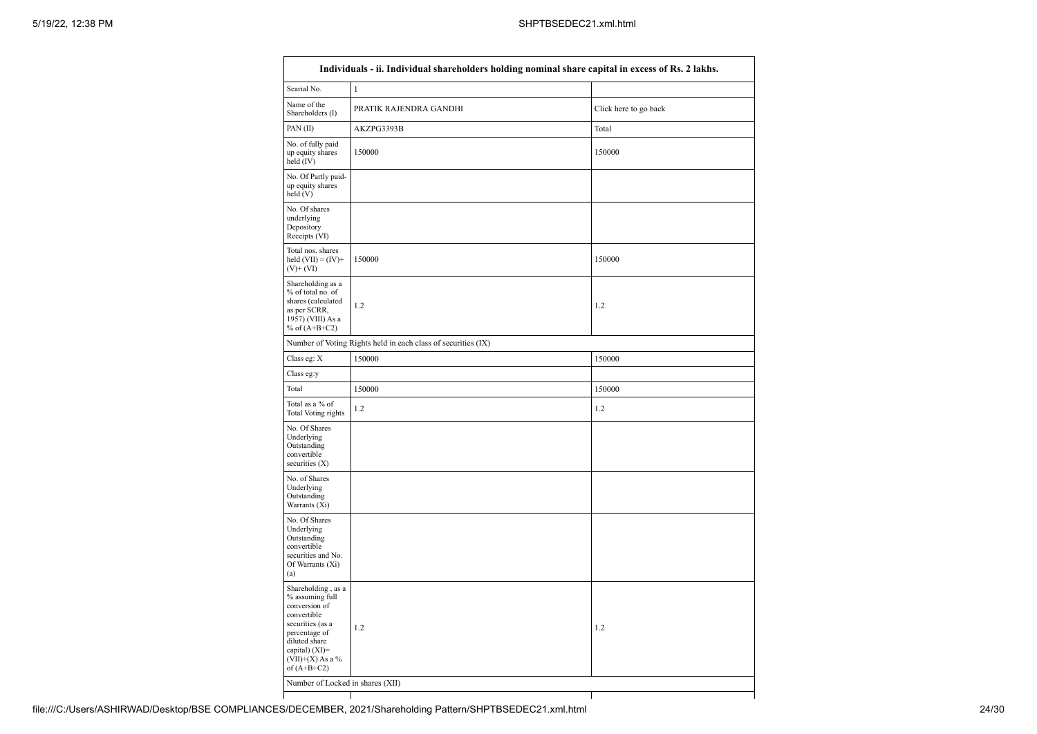| Name of the<br>PRATIK RAJENDRA GANDHI<br>Shareholders (I)                                                                                                                                      | Click here to go back |
|------------------------------------------------------------------------------------------------------------------------------------------------------------------------------------------------|-----------------------|
|                                                                                                                                                                                                |                       |
| PAN(II)<br>AKZPG3393B                                                                                                                                                                          | Total                 |
| No. of fully paid<br>150000<br>up equity shares<br>held (IV)                                                                                                                                   | 150000                |
| No. Of Partly paid-<br>up equity shares<br>held (V)                                                                                                                                            |                       |
| No. Of shares<br>underlying<br>Depository<br>Receipts (VI)                                                                                                                                     |                       |
| Total nos. shares<br>held $(VII) = (IV) +$<br>150000<br>$(V)$ + $(VI)$                                                                                                                         | 150000                |
| Shareholding as a<br>% of total no. of<br>shares (calculated<br>1.2<br>as per SCRR,<br>1957) (VIII) As a<br>% of $(A+B+C2)$                                                                    | 1.2                   |
| Number of Voting Rights held in each class of securities (IX)                                                                                                                                  |                       |
| Class eg: X<br>150000                                                                                                                                                                          | 150000                |
| Class eg:y                                                                                                                                                                                     |                       |
| Total<br>150000                                                                                                                                                                                | 150000                |
| Total as a % of<br>1.2<br>Total Voting rights                                                                                                                                                  | 1.2                   |
| No. Of Shares<br>Underlying<br>Outstanding<br>convertible<br>securities (X)                                                                                                                    |                       |
| No. of Shares<br>Underlying<br>Outstanding<br>Warrants (Xi)                                                                                                                                    |                       |
| No. Of Shares<br>Underlying<br>Outstanding<br>convertible<br>securities and No.<br>Of Warrants (Xi)<br>(a)                                                                                     |                       |
| Shareholding, as a<br>% assuming full<br>conversion of<br>convertible<br>securities (as a<br>1.2<br>percentage of<br>diluted share<br>capital) $(XI)$ =<br>$(VII)+(X)$ As a %<br>of $(A+B+C2)$ | 1.2                   |
| Number of Locked in shares (XII)                                                                                                                                                               |                       |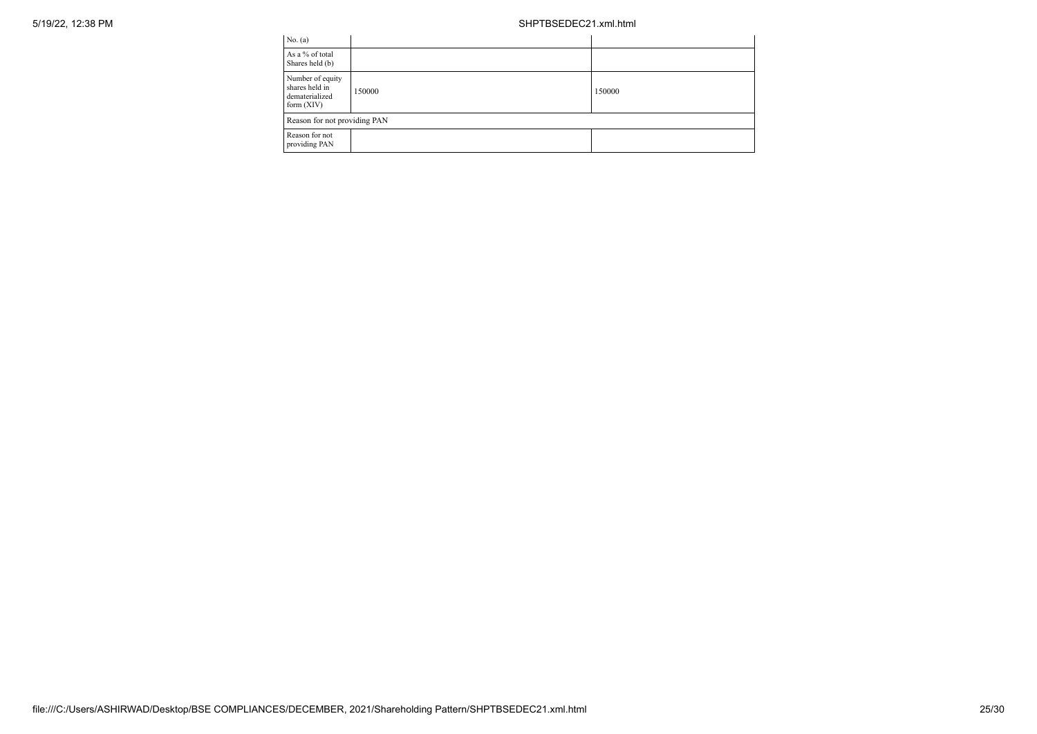| No. (a)                                                              |        |        |
|----------------------------------------------------------------------|--------|--------|
| As a % of total<br>Shares held (b)                                   |        |        |
| Number of equity<br>shares held in<br>dematerialized<br>form $(XIV)$ | 150000 | 150000 |
| Reason for not providing PAN                                         |        |        |
| Reason for not<br>providing PAN                                      |        |        |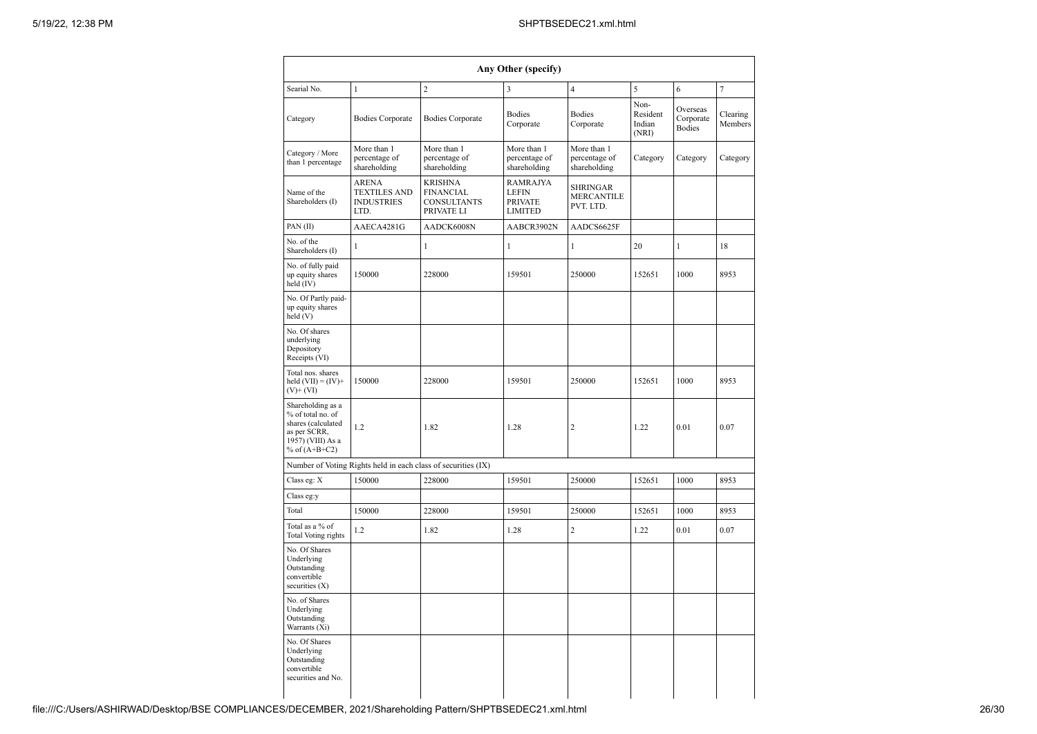|                                                                                                                      |                                                                  |                                                                        | Any Other (specify)                                                 |                                                   |                                     |                                        |                     |
|----------------------------------------------------------------------------------------------------------------------|------------------------------------------------------------------|------------------------------------------------------------------------|---------------------------------------------------------------------|---------------------------------------------------|-------------------------------------|----------------------------------------|---------------------|
| Searial No.                                                                                                          | $\mathbf{1}$                                                     | $\overline{c}$                                                         | 3                                                                   | $\overline{4}$                                    | 5                                   | 6                                      | $\overline{7}$      |
| Category                                                                                                             | <b>Bodies Corporate</b>                                          | <b>Bodies Corporate</b>                                                | <b>Bodies</b><br>Corporate                                          | <b>Bodies</b><br>Corporate                        | Non-<br>Resident<br>Indian<br>(NRI) | Overseas<br>Corporate<br><b>Bodies</b> | Clearing<br>Members |
| Category / More<br>than 1 percentage                                                                                 | More than 1<br>percentage of<br>shareholding                     | More than 1<br>percentage of<br>shareholding                           | More than 1<br>percentage of<br>shareholding                        | More than 1<br>percentage of<br>shareholding      | Category                            | Category                               | Category            |
| Name of the<br>Shareholders (I)                                                                                      | <b>ARENA</b><br><b>TEXTILES AND</b><br><b>INDUSTRIES</b><br>LTD. | <b>KRISHNA</b><br><b>FINANCIAL</b><br><b>CONSULTANTS</b><br>PRIVATE LI | <b>RAMRAJYA</b><br><b>LEFIN</b><br><b>PRIVATE</b><br><b>LIMITED</b> | <b>SHRINGAR</b><br><b>MERCANTILE</b><br>PVT. LTD. |                                     |                                        |                     |
| PAN(II)                                                                                                              | AAECA4281G                                                       | AADCK6008N                                                             | AABCR3902N                                                          | AADCS6625F                                        |                                     |                                        |                     |
| No. of the<br>Shareholders (I)                                                                                       | $\mathbf{1}$                                                     | $\mathbf{1}$                                                           | $\mathbf{1}$                                                        | $\mathbf{1}$                                      | 20                                  | $\mathbf{1}$                           | 18                  |
| No. of fully paid<br>up equity shares<br>$held$ (IV)                                                                 | 150000                                                           | 228000                                                                 | 159501                                                              | 250000                                            | 152651                              | 1000                                   | 8953                |
| No. Of Partly paid-<br>up equity shares<br>held(V)                                                                   |                                                                  |                                                                        |                                                                     |                                                   |                                     |                                        |                     |
| No. Of shares<br>underlying<br>Depository<br>Receipts (VI)                                                           |                                                                  |                                                                        |                                                                     |                                                   |                                     |                                        |                     |
| Total nos. shares<br>held $(VII) = (IV) +$<br>$(V)$ + $(VI)$                                                         | 150000                                                           | 228000                                                                 | 159501                                                              | 250000                                            | 152651                              | 1000                                   | 8953                |
| Shareholding as a<br>% of total no. of<br>shares (calculated<br>as per SCRR,<br>1957) (VIII) As a<br>% of $(A+B+C2)$ | 1.2                                                              | 1.82                                                                   | 1.28                                                                | $\overline{2}$                                    | 1.22                                | 0.01                                   | 0.07                |
|                                                                                                                      |                                                                  | Number of Voting Rights held in each class of securities (IX)          |                                                                     |                                                   |                                     |                                        |                     |
| Class eg: X                                                                                                          | 150000                                                           | 228000                                                                 | 159501                                                              | 250000                                            | 152651                              | 1000                                   | 8953                |
| Class eg:y                                                                                                           |                                                                  |                                                                        |                                                                     |                                                   |                                     |                                        |                     |
| Total                                                                                                                | 150000                                                           | 228000                                                                 | 159501                                                              | 250000                                            | 152651                              | 1000                                   | 8953                |
| Total as a % of<br><b>Total Voting rights</b>                                                                        | 1.2                                                              | 1.82                                                                   | 1.28                                                                | $\overline{2}$                                    | 1.22                                | 0.01                                   | 0.07                |
| No. Of Shares<br>Underlying<br>Outstanding<br>convertible<br>securities (X)                                          |                                                                  |                                                                        |                                                                     |                                                   |                                     |                                        |                     |
| No. of Shares<br>Underlying<br>Outstanding<br>Warrants (Xi)                                                          |                                                                  |                                                                        |                                                                     |                                                   |                                     |                                        |                     |
| No. Of Shares<br>Underlying<br>Outstanding<br>convertible<br>securities and No.                                      |                                                                  |                                                                        |                                                                     |                                                   |                                     |                                        |                     |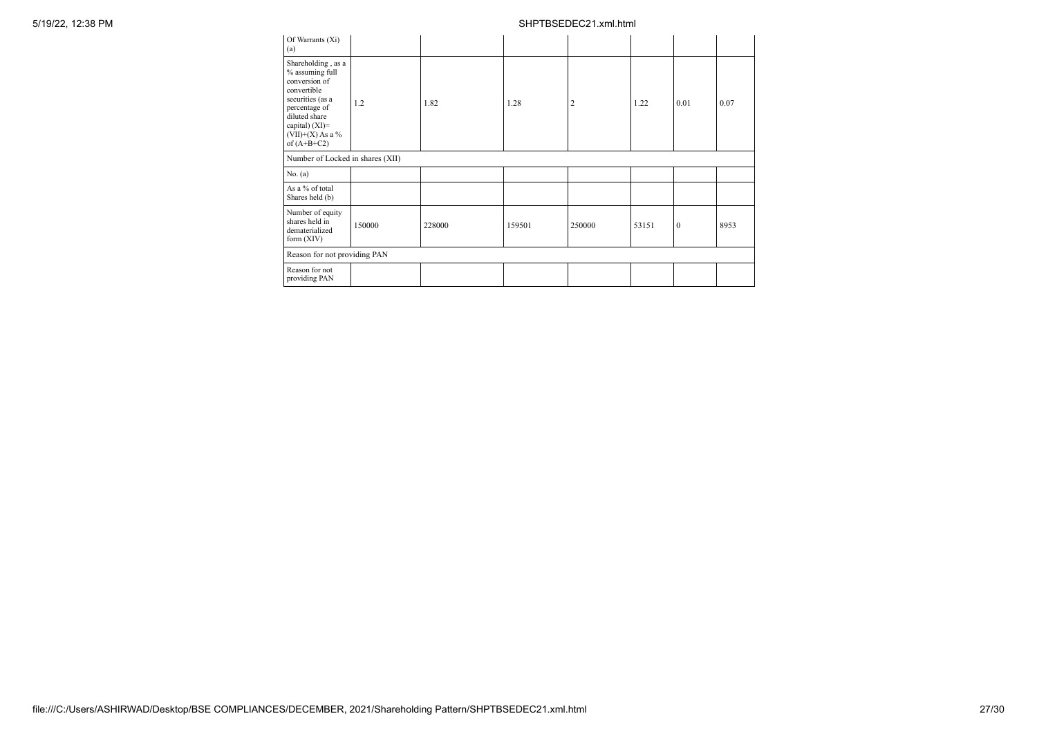| Of Warrants (Xi)<br>(a)                                                                                                                                                                |        |        |        |                |       |              |      |
|----------------------------------------------------------------------------------------------------------------------------------------------------------------------------------------|--------|--------|--------|----------------|-------|--------------|------|
| Shareholding, as a<br>% assuming full<br>conversion of<br>convertible<br>securities (as a<br>percentage of<br>diluted share<br>capital) $(XI)=$<br>$(VII)+(X)$ As a %<br>of $(A+B+C2)$ | 1.2    | 1.82   | 1.28   | $\overline{2}$ | 1.22  | 0.01         | 0.07 |
| Number of Locked in shares (XII)                                                                                                                                                       |        |        |        |                |       |              |      |
| No. (a)                                                                                                                                                                                |        |        |        |                |       |              |      |
| As a % of total<br>Shares held (b)                                                                                                                                                     |        |        |        |                |       |              |      |
| Number of equity<br>shares held in<br>dematerialized<br>form $(XIV)$                                                                                                                   | 150000 | 228000 | 159501 | 250000         | 53151 | $\mathbf{0}$ | 8953 |
| Reason for not providing PAN                                                                                                                                                           |        |        |        |                |       |              |      |
| Reason for not<br>providing PAN                                                                                                                                                        |        |        |        |                |       |              |      |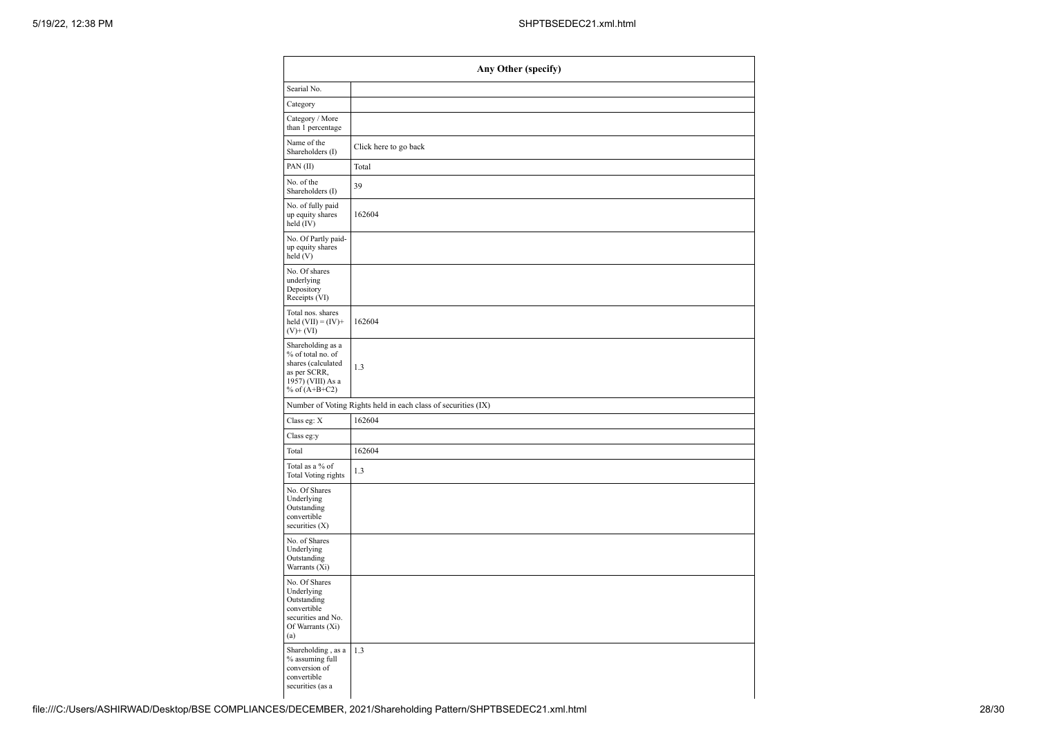| Any Other (specify)                                                                                                  |                                                               |  |  |
|----------------------------------------------------------------------------------------------------------------------|---------------------------------------------------------------|--|--|
| Searial No.                                                                                                          |                                                               |  |  |
| Category                                                                                                             |                                                               |  |  |
| Category / More<br>than 1 percentage                                                                                 |                                                               |  |  |
| Name of the<br>Shareholders (I)                                                                                      | Click here to go back                                         |  |  |
| PAN(II)                                                                                                              | Total                                                         |  |  |
| No. of the<br>Shareholders (I)                                                                                       | 39                                                            |  |  |
| No. of fully paid<br>up equity shares<br>held (IV)                                                                   | 162604                                                        |  |  |
| No. Of Partly paid-<br>up equity shares<br>$\text{held}$ (V)                                                         |                                                               |  |  |
| No. Of shares<br>underlying<br>Depository<br>Receipts (VI)                                                           |                                                               |  |  |
| Total nos. shares<br>held $(VII) = (IV) +$<br>$(V)$ + $(VI)$                                                         | 162604                                                        |  |  |
| Shareholding as a<br>% of total no. of<br>shares (calculated<br>as per SCRR,<br>1957) (VIII) As a<br>% of $(A+B+C2)$ | 1.3                                                           |  |  |
|                                                                                                                      | Number of Voting Rights held in each class of securities (IX) |  |  |
| Class eg: X                                                                                                          | 162604                                                        |  |  |
| Class eg:y                                                                                                           |                                                               |  |  |
| Total                                                                                                                | 162604                                                        |  |  |
| Total as a % of<br>Total Voting rights                                                                               | 1.3                                                           |  |  |
| No. Of Shares<br>Underlying<br>Outstanding<br>convertible<br>securities (X)                                          |                                                               |  |  |
| No. of Shares<br>Underlying<br>Outstanding<br>Warrants (Xi)                                                          |                                                               |  |  |
| No. Of Shares<br>Underlying<br>Outstanding<br>convertible<br>securities and No.<br>Of Warrants (Xi)<br>(a)           |                                                               |  |  |
| Shareholding , as a<br>% assuming full<br>conversion of<br>convertible<br>securities (as a                           | 1.3                                                           |  |  |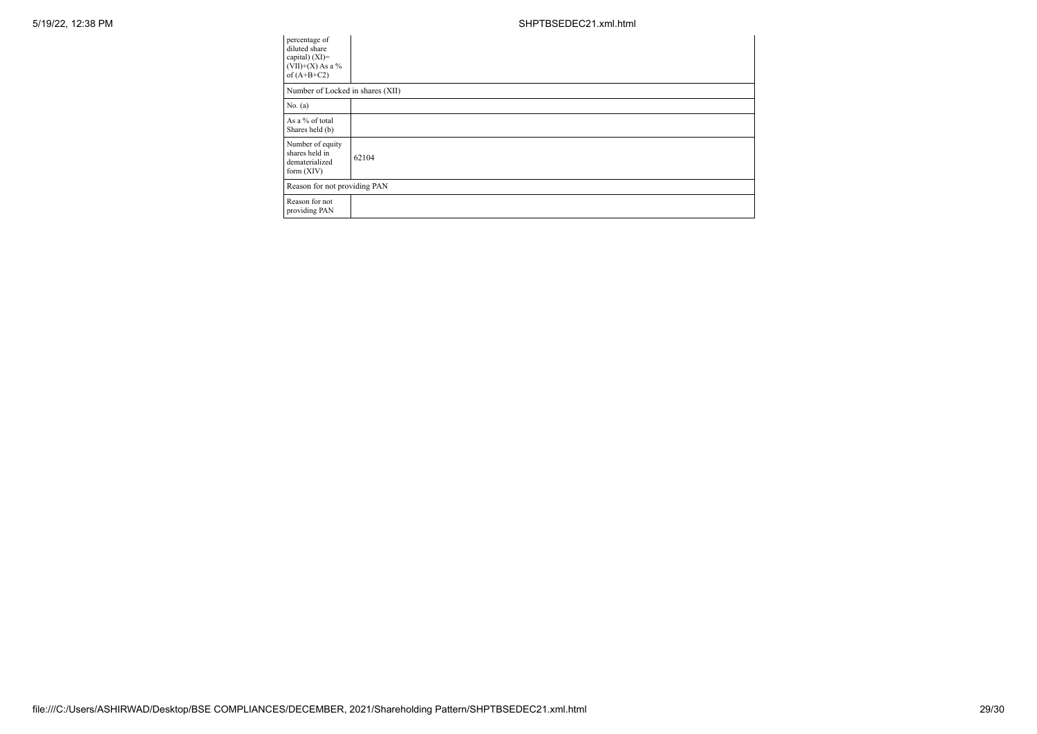| percentage of<br>diluted share<br>capital) (XI)=<br>$(VII)+(X)$ As a %<br>of $(A+B+C2)$ |       |
|-----------------------------------------------------------------------------------------|-------|
| Number of Locked in shares (XII)                                                        |       |
| No. (a)                                                                                 |       |
| As a % of total<br>Shares held (b)                                                      |       |
| Number of equity<br>shares held in<br>dematerialized<br>form $(XIV)$                    | 62104 |
| Reason for not providing PAN                                                            |       |
| Reason for not<br>providing PAN                                                         |       |